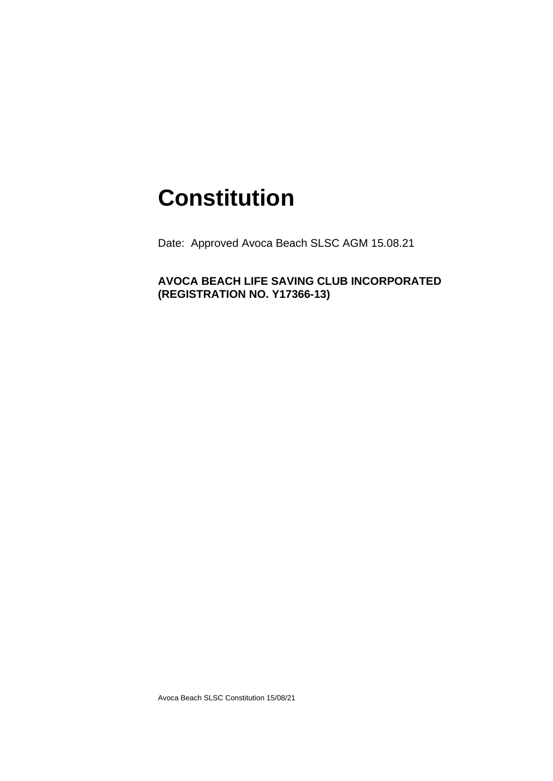## **Constitution**

Date: Approved Avoca Beach SLSC AGM 15.08.21

**AVOCA BEACH LIFE SAVING CLUB INCORPORATED (REGISTRATION NO. Y17366-13)**

Avoca Beach SLSC Constitution 15/08/21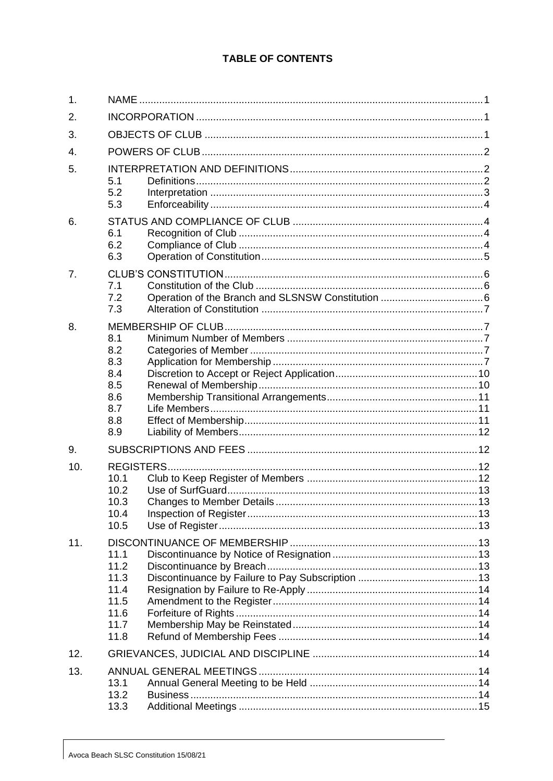## **TABLE OF CONTENTS**

| 1.  |                                                              |  |  |
|-----|--------------------------------------------------------------|--|--|
| 2.  |                                                              |  |  |
| 3.  |                                                              |  |  |
| 4.  |                                                              |  |  |
| 5.  | 5.1<br>5.2<br>5.3                                            |  |  |
| 6.  | 6.1<br>6.2<br>6.3                                            |  |  |
| 7.  | 7.1<br>7.2<br>7.3                                            |  |  |
| 8.  | 8.1<br>8.2<br>8.3<br>8.4<br>8.5<br>8.6<br>8.7<br>8.8<br>8.9  |  |  |
| 9.  |                                                              |  |  |
| 10. | <b>REGISTERS</b><br>10.1<br>10.2<br>10.3<br>10.4<br>10.5     |  |  |
| 11. | 11.1<br>11.2<br>11.3<br>11.4<br>11.5<br>11.6<br>11.7<br>11.8 |  |  |
| 12. |                                                              |  |  |
| 13. | 13.1<br>13.2<br>13.3                                         |  |  |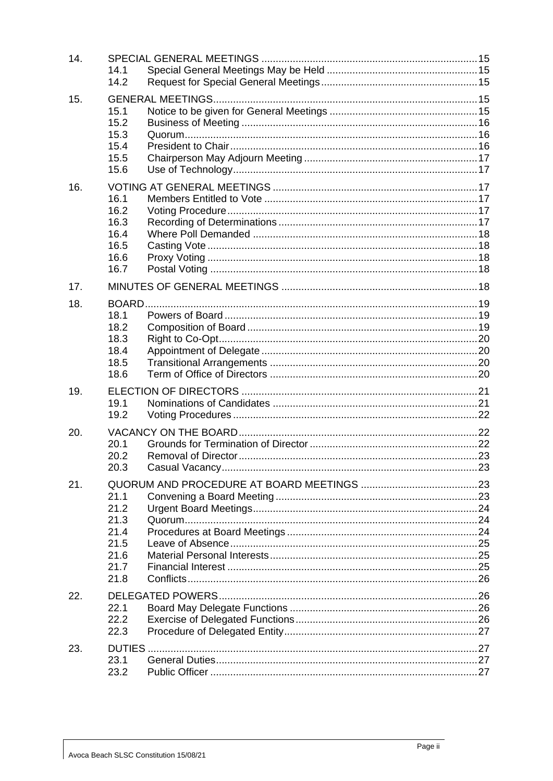| 14. | 14.1<br>14.2                                                 |  |
|-----|--------------------------------------------------------------|--|
| 15. | 15.1<br>15.2<br>15.3<br>15.4<br>15.5<br>15.6                 |  |
| 16. | 16.1<br>16.2<br>16.3<br>16.4<br>16.5<br>16.6<br>16.7         |  |
| 17. |                                                              |  |
| 18. | 18.1<br>18.2<br>18.3<br>18.4<br>18.5<br>18.6                 |  |
| 19. | 19.1<br>19.2                                                 |  |
| 20. | 20.1<br>20.2<br>20.3                                         |  |
| 21. | 21.1<br>21.2<br>21.3<br>21.4<br>21.5<br>21.6<br>21.7<br>21.8 |  |
| 22. | 22.1<br>22.2<br>22.3                                         |  |
| 23. | DUTIES<br>23.1<br>23.2                                       |  |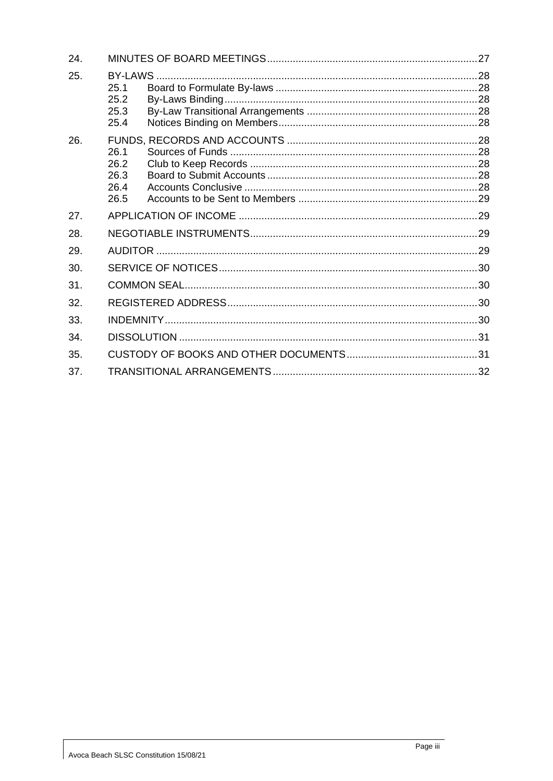| 24. |                                          |  |  |
|-----|------------------------------------------|--|--|
| 25. | BY-LAWS.<br>25.1<br>25.2<br>25.3<br>25.4 |  |  |
| 26. | 26.1<br>26.2<br>26.3<br>26.4<br>26.5     |  |  |
| 27. |                                          |  |  |
| 28. |                                          |  |  |
| 29. |                                          |  |  |
| 30. |                                          |  |  |
| 31. |                                          |  |  |
| 32. |                                          |  |  |
| 33. |                                          |  |  |
| 34. |                                          |  |  |
| 35. |                                          |  |  |
| 37. |                                          |  |  |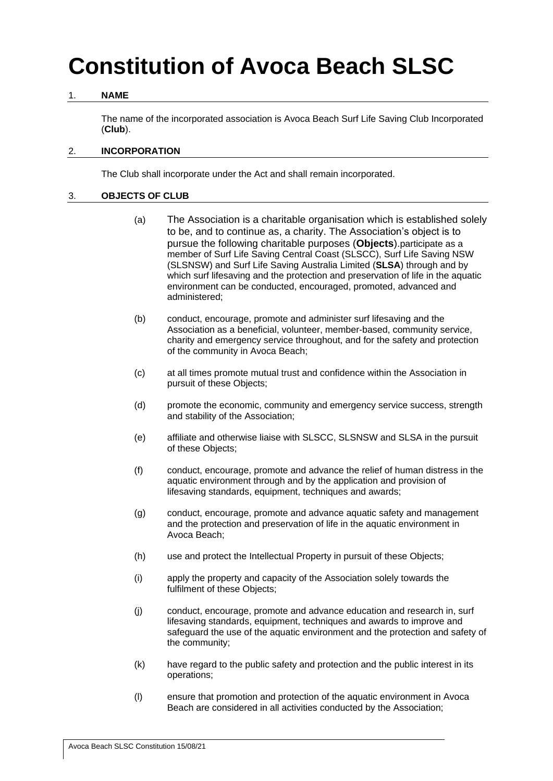# **Constitution of Avoca Beach SLSC**

## <span id="page-4-0"></span>1. **NAME**

The name of the incorporated association is Avoca Beach Surf Life Saving Club Incorporated (**Club**).

#### <span id="page-4-1"></span>2. **INCORPORATION**

The Club shall incorporate under the Act and shall remain incorporated.

## <span id="page-4-2"></span>3. **OBJECTS OF CLUB**

- (a) The Association is a charitable organisation which is established solely to be, and to continue as, a charity. The Association's object is to pursue the following charitable purposes (**Objects**).participate as a member of Surf Life Saving Central Coast (SLSCC), Surf Life Saving NSW (SLSNSW) and Surf Life Saving Australia Limited (**SLSA**) through and by which surf lifesaving and the protection and preservation of life in the aquatic environment can be conducted, encouraged, promoted, advanced and administered;
- (b) conduct, encourage, promote and administer surf lifesaving and the Association as a beneficial, volunteer, member-based, community service, charity and emergency service throughout, and for the safety and protection of the community in Avoca Beach;
- (c) at all times promote mutual trust and confidence within the Association in pursuit of these Objects;
- (d) promote the economic, community and emergency service success, strength and stability of the Association;
- (e) affiliate and otherwise liaise with SLSCC, SLSNSW and SLSA in the pursuit of these Objects;
- (f) conduct, encourage, promote and advance the relief of human distress in the aquatic environment through and by the application and provision of lifesaving standards, equipment, techniques and awards;
- (g) conduct, encourage, promote and advance aquatic safety and management and the protection and preservation of life in the aquatic environment in Avoca Beach;
- (h) use and protect the Intellectual Property in pursuit of these Objects;
- (i) apply the property and capacity of the Association solely towards the fulfilment of these Objects:
- (j) conduct, encourage, promote and advance education and research in, surf lifesaving standards, equipment, techniques and awards to improve and safeguard the use of the aquatic environment and the protection and safety of the community;
- (k) have regard to the public safety and protection and the public interest in its operations;
- (l) ensure that promotion and protection of the aquatic environment in Avoca Beach are considered in all activities conducted by the Association;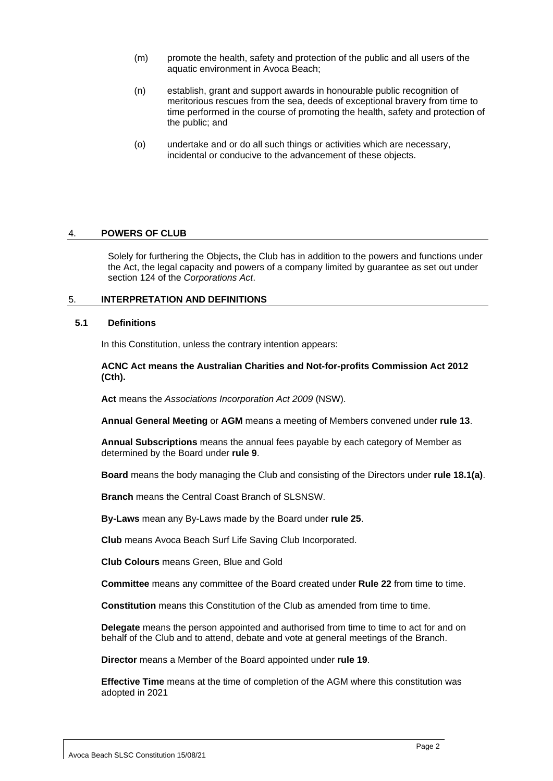- (m) promote the health, safety and protection of the public and all users of the aquatic environment in Avoca Beach;
- (n) establish, grant and support awards in honourable public recognition of meritorious rescues from the sea, deeds of exceptional bravery from time to time performed in the course of promoting the health, safety and protection of the public; and
- (o) undertake and or do all such things or activities which are necessary, incidental or conducive to the advancement of these objects.

#### <span id="page-5-0"></span>4. **POWERS OF CLUB**

Solely for furthering the Objects, the Club has in addition to the powers and functions under the Act, the legal capacity and powers of a company limited by guarantee as set out under section 124 of the *Corporations Act*.

#### <span id="page-5-1"></span>5. **INTERPRETATION AND DEFINITIONS**

#### <span id="page-5-2"></span>**5.1 Definitions**

In this Constitution, unless the contrary intention appears:

#### **ACNC Act means the Australian Charities and Not-for-profits Commission Act 2012 (Cth).**

**Act** means the *Associations Incorporation Act 2009* (NSW).

**Annual General Meeting** or **AGM** means a meeting of Members convened under **rule [13](#page-17-6)**.

**Annual Subscriptions** means the annual fees payable by each category of Member as determined by the Board under **rule [9](#page-15-1)**.

**Board** means the body managing the Club and consisting of the Directors under **rule [18.1\(a\)](#page-22-3)**.

**Branch** means the Central Coast Branch of SLSNSW.

**By-Laws** mean any By-Laws made by the Board under **rule [25](#page-31-0)**.

**Club** means Avoca Beach Surf Life Saving Club Incorporated.

**Club Colours** means Green, Blue and Gold

**Committee** means any committee of the Board created under **Rule 22** from time to time.

**Constitution** means this Constitution of the Club as amended from time to time.

**Delegate** means the person appointed and authorised from time to time to act for and on behalf of the Club and to attend, debate and vote at general meetings of the Branch.

**Director** means a Member of the Board appointed under **rule [19](#page-24-0)**.

**Effective Time** means at the time of completion of the AGM where this constitution was adopted in 2021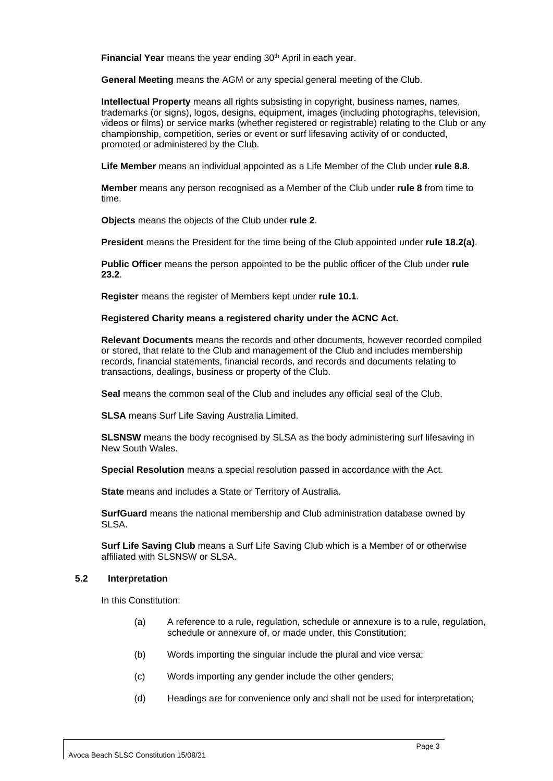**Financial Year** means the year ending 30<sup>th</sup> April in each year.

**General Meeting** means the AGM or any special general meeting of the Club.

**Intellectual Property** means all rights subsisting in copyright, business names, names, trademarks (or signs), logos, designs, equipment, images (including photographs, television, videos or films) or service marks (whether registered or registrable) relating to the Club or any championship, competition, series or event or surf lifesaving activity of or conducted, promoted or administered by the Club.

**Life Member** means an individual appointed as a Life Member of the Club under **rule [8.8](#page-14-1)**.

**Member** means any person recognised as a Member of the Club under **rule [8](#page-10-1)** from time to time.

**Objects** means the objects of the Club under **rule [2](#page-4-1)**.

**President** means the President for the time being of the Club appointed under **rule [18.2\(a\)](#page-22-4)**.

**Public Officer** means the person appointed to be the public officer of the Club under **rule 23.2**.

**Register** means the register of Members kept under **rule [10.1](#page-15-3)**.

#### **Registered Charity means a registered charity under the ACNC Act.**

**Relevant Documents** means the records and other documents, however recorded compiled or stored, that relate to the Club and management of the Club and includes membership records, financial statements, financial records, and records and documents relating to transactions, dealings, business or property of the Club.

**Seal** means the common seal of the Club and includes any official seal of the Club.

**SLSA** means Surf Life Saving Australia Limited.

**SLSNSW** means the body recognised by SLSA as the body administering surf lifesaving in New South Wales.

**Special Resolution** means a special resolution passed in accordance with the Act.

**State** means and includes a State or Territory of Australia.

**SurfGuard** means the national membership and Club administration database owned by SLSA.

**Surf Life Saving Club** means a Surf Life Saving Club which is a Member of or otherwise affiliated with SLSNSW or SLSA.

#### <span id="page-6-0"></span>**5.2 Interpretation**

In this Constitution:

- (a) A reference to a rule, regulation, schedule or annexure is to a rule, regulation, schedule or annexure of, or made under, this Constitution;
- (b) Words importing the singular include the plural and vice versa;
- (c) Words importing any gender include the other genders;
- (d) Headings are for convenience only and shall not be used for interpretation;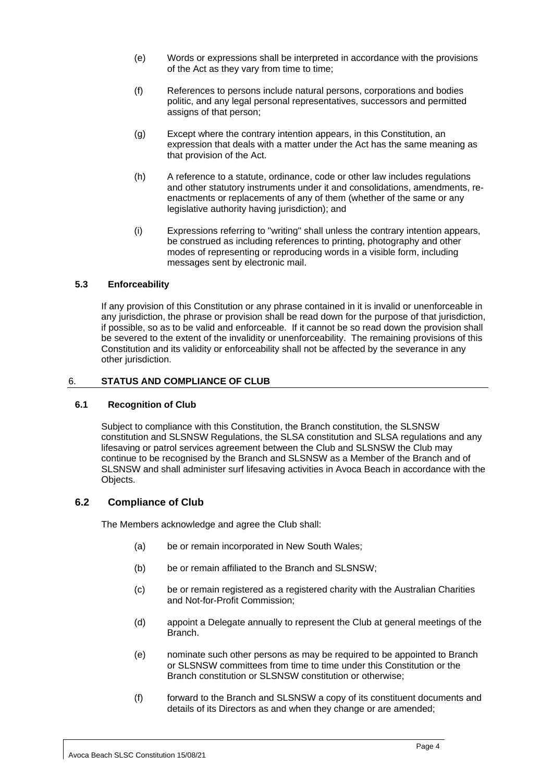- (e) Words or expressions shall be interpreted in accordance with the provisions of the Act as they vary from time to time;
- (f) References to persons include natural persons, corporations and bodies politic, and any legal personal representatives, successors and permitted assigns of that person;
- (g) Except where the contrary intention appears, in this Constitution, an expression that deals with a matter under the Act has the same meaning as that provision of the Act.
- (h) A reference to a statute, ordinance, code or other law includes regulations and other statutory instruments under it and consolidations, amendments, reenactments or replacements of any of them (whether of the same or any legislative authority having jurisdiction); and
- (i) Expressions referring to "writing" shall unless the contrary intention appears, be construed as including references to printing, photography and other modes of representing or reproducing words in a visible form, including messages sent by electronic mail.

## <span id="page-7-0"></span>**5.3 Enforceability**

If any provision of this Constitution or any phrase contained in it is invalid or unenforceable in any jurisdiction, the phrase or provision shall be read down for the purpose of that jurisdiction, if possible, so as to be valid and enforceable. If it cannot be so read down the provision shall be severed to the extent of the invalidity or unenforceability. The remaining provisions of this Constitution and its validity or enforceability shall not be affected by the severance in any other jurisdiction.

## <span id="page-7-1"></span>6. **STATUS AND COMPLIANCE OF CLUB**

## <span id="page-7-2"></span>**6.1 Recognition of Club**

Subject to compliance with this Constitution, the Branch constitution, the SLSNSW constitution and SLSNSW Regulations, the SLSA constitution and SLSA regulations and any lifesaving or patrol services agreement between the Club and SLSNSW the Club may continue to be recognised by the Branch and SLSNSW as a Member of the Branch and of SLSNSW and shall administer surf lifesaving activities in Avoca Beach in accordance with the Objects.

## <span id="page-7-3"></span>**6.2 Compliance of Club**

The Members acknowledge and agree the Club shall:

- (a) be or remain incorporated in New South Wales;
- (b) be or remain affiliated to the Branch and SLSNSW;
- (c) be or remain registered as a registered charity with the Australian Charities and Not-for-Profit Commission;
- (d) appoint a Delegate annually to represent the Club at general meetings of the Branch.
- (e) nominate such other persons as may be required to be appointed to Branch or SLSNSW committees from time to time under this Constitution or the Branch constitution or SLSNSW constitution or otherwise;
- (f) forward to the Branch and SLSNSW a copy of its constituent documents and details of its Directors as and when they change or are amended;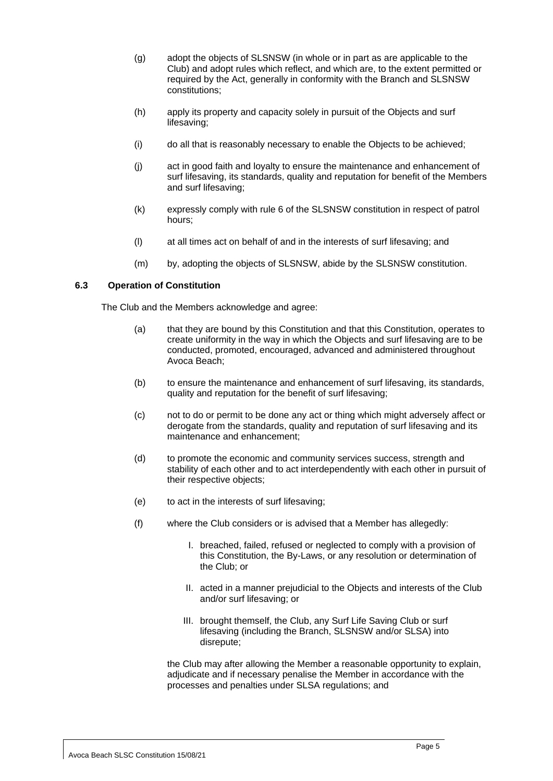- (g) adopt the objects of SLSNSW (in whole or in part as are applicable to the Club) and adopt rules which reflect, and which are, to the extent permitted or required by the Act, generally in conformity with the Branch and SLSNSW constitutions;
- (h) apply its property and capacity solely in pursuit of the Objects and surf lifesaving;
- (i) do all that is reasonably necessary to enable the Objects to be achieved;
- (j) act in good faith and loyalty to ensure the maintenance and enhancement of surf lifesaving, its standards, quality and reputation for benefit of the Members and surf lifesaving;
- (k) expressly comply with rule 6 of the SLSNSW constitution in respect of patrol hours;
- (l) at all times act on behalf of and in the interests of surf lifesaving; and
- (m) by, adopting the objects of SLSNSW, abide by the SLSNSW constitution.

## <span id="page-8-0"></span>**6.3 Operation of Constitution**

The Club and the Members acknowledge and agree:

- (a) that they are bound by this Constitution and that this Constitution, operates to create uniformity in the way in which the Objects and surf lifesaving are to be conducted, promoted, encouraged, advanced and administered throughout Avoca Beach;
- (b) to ensure the maintenance and enhancement of surf lifesaving, its standards, quality and reputation for the benefit of surf lifesaving;
- (c) not to do or permit to be done any act or thing which might adversely affect or derogate from the standards, quality and reputation of surf lifesaving and its maintenance and enhancement;
- (d) to promote the economic and community services success, strength and stability of each other and to act interdependently with each other in pursuit of their respective objects;
- (e) to act in the interests of surf lifesaving;
- (f) where the Club considers or is advised that a Member has allegedly:
	- I. breached, failed, refused or neglected to comply with a provision of this Constitution, the By-Laws, or any resolution or determination of the Club; or
	- II. acted in a manner prejudicial to the Objects and interests of the Club and/or surf lifesaving; or
	- III. brought themself, the Club, any Surf Life Saving Club or surf lifesaving (including the Branch, SLSNSW and/or SLSA) into disrepute;

the Club may after allowing the Member a reasonable opportunity to explain, adjudicate and if necessary penalise the Member in accordance with the processes and penalties under SLSA regulations; and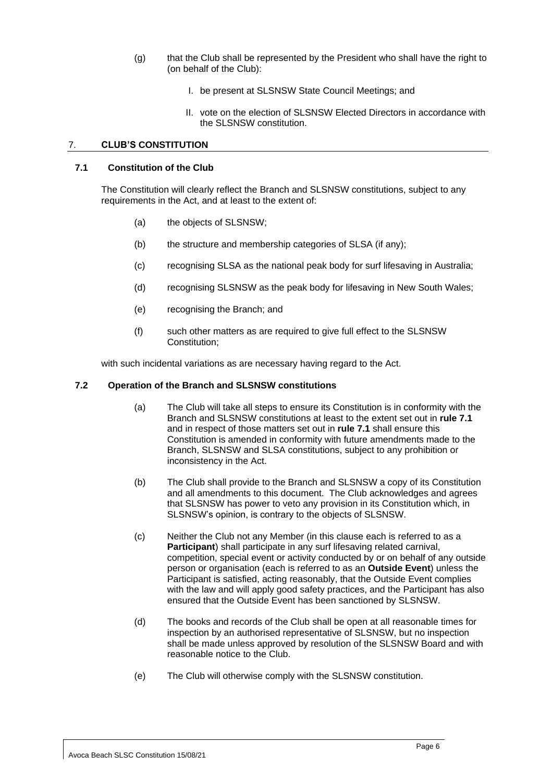- (g) that the Club shall be represented by the President who shall have the right to (on behalf of the Club):
	- I. be present at SLSNSW State Council Meetings; and
	- II. vote on the election of SLSNSW Elected Directors in accordance with the SLSNSW constitution.

#### <span id="page-9-0"></span>7. **CLUB'S CONSTITUTION**

#### <span id="page-9-1"></span>**7.1 Constitution of the Club**

The Constitution will clearly reflect the Branch and SLSNSW constitutions, subject to any requirements in the Act, and at least to the extent of:

- (a) the objects of SLSNSW;
- (b) the structure and membership categories of SLSA (if any);
- (c) recognising SLSA as the national peak body for surf lifesaving in Australia;
- (d) recognising SLSNSW as the peak body for lifesaving in New South Wales;
- (e) recognising the Branch; and
- (f) such other matters as are required to give full effect to the SLSNSW Constitution;

with such incidental variations as are necessary having regard to the Act.

#### <span id="page-9-2"></span>**7.2 Operation of the Branch and SLSNSW constitutions**

- (a) The Club will take all steps to ensure its Constitution is in conformity with the Branch and SLSNSW constitutions at least to the extent set out in **rul[e 7.1](#page-9-1)** and in respect of those matters set out in **rule [7.1](#page-9-1)** shall ensure this Constitution is amended in conformity with future amendments made to the Branch, SLSNSW and SLSA constitutions, subject to any prohibition or inconsistency in the Act.
- (b) The Club shall provide to the Branch and SLSNSW a copy of its Constitution and all amendments to this document. The Club acknowledges and agrees that SLSNSW has power to veto any provision in its Constitution which, in SLSNSW's opinion, is contrary to the objects of SLSNSW.
- (c) Neither the Club not any Member (in this clause each is referred to as a **Participant**) shall participate in any surf lifesaving related carnival, competition, special event or activity conducted by or on behalf of any outside person or organisation (each is referred to as an **Outside Event**) unless the Participant is satisfied, acting reasonably, that the Outside Event complies with the law and will apply good safety practices, and the Participant has also ensured that the Outside Event has been sanctioned by SLSNSW.
- (d) The books and records of the Club shall be open at all reasonable times for inspection by an authorised representative of SLSNSW, but no inspection shall be made unless approved by resolution of the SLSNSW Board and with reasonable notice to the Club.
- (e) The Club will otherwise comply with the SLSNSW constitution.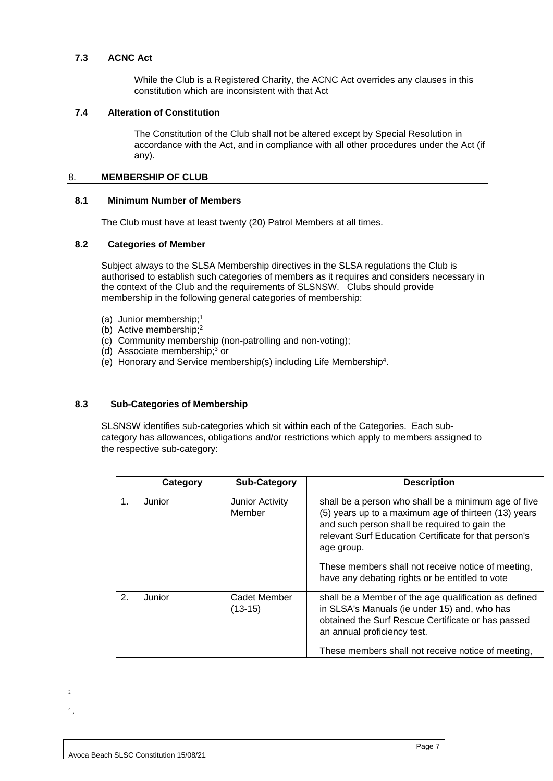#### <span id="page-10-0"></span>**7.3 ACNC Act**

While the Club is a Registered Charity, the ACNC Act overrides any clauses in this constitution which are inconsistent with that Act

#### **7.4 Alteration of Constitution**

The Constitution of the Club shall not be altered except by Special Resolution in accordance with the Act, and in compliance with all other procedures under the Act (if any).

#### <span id="page-10-1"></span>8. **MEMBERSHIP OF CLUB**

#### <span id="page-10-2"></span>**8.1 Minimum Number of Members**

The Club must have at least twenty (20) Patrol Members at all times.

## <span id="page-10-3"></span>**8.2 Categories of Member**

Subject always to the SLSA Membership directives in the SLSA regulations the Club is authorised to establish such categories of members as it requires and considers necessary in the context of the Club and the requirements of SLSNSW. Clubs should provide membership in the following general categories of membership:

- (a) Junior membership;<sup>1</sup>
- (b) Active membership;<sup>2</sup>
- (c) Community membership (non-patrolling and non-voting);
- (d) Associate membership;<sup>3</sup> or
- (e) Honorary and Service membership(s) including Life Membership 4 .

## <span id="page-10-4"></span>**8.3 Sub-Categories of Membership**

SLSNSW identifies sub-categories which sit within each of the Categories. Each subcategory has allowances, obligations and/or restrictions which apply to members assigned to the respective sub-category:

|                | Category | <b>Sub-Category</b>              | <b>Description</b>                                                                                                                                                                                                                                                                                                                            |
|----------------|----------|----------------------------------|-----------------------------------------------------------------------------------------------------------------------------------------------------------------------------------------------------------------------------------------------------------------------------------------------------------------------------------------------|
| $\mathbf{1}$ . | Junior   | <b>Junior Activity</b><br>Member | shall be a person who shall be a minimum age of five<br>(5) years up to a maximum age of thirteen (13) years<br>and such person shall be required to gain the<br>relevant Surf Education Certificate for that person's<br>age group.<br>These members shall not receive notice of meeting,<br>have any debating rights or be entitled to vote |
| 2.             | Junior   | Cadet Member<br>$(13-15)$        | shall be a Member of the age qualification as defined<br>in SLSA's Manuals (ie under 15) and, who has<br>obtained the Surf Rescue Certificate or has passed<br>an annual proficiency test.<br>These members shall not receive notice of meeting,                                                                                              |

- 2
- 4 ,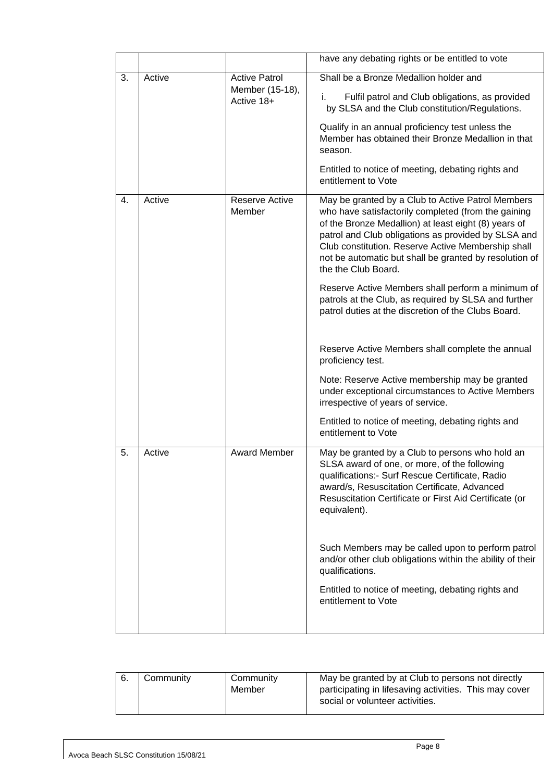|    |        |                                 | have any debating rights or be entitled to vote                                                                                                                                                                                                                                                                                                                |
|----|--------|---------------------------------|----------------------------------------------------------------------------------------------------------------------------------------------------------------------------------------------------------------------------------------------------------------------------------------------------------------------------------------------------------------|
| 3. | Active | <b>Active Patrol</b>            | Shall be a Bronze Medallion holder and                                                                                                                                                                                                                                                                                                                         |
|    |        | Member (15-18),<br>Active 18+   | Fulfil patrol and Club obligations, as provided<br>i.<br>by SLSA and the Club constitution/Regulations.<br>Qualify in an annual proficiency test unless the                                                                                                                                                                                                    |
|    |        |                                 | Member has obtained their Bronze Medallion in that<br>season.                                                                                                                                                                                                                                                                                                  |
|    |        |                                 | Entitled to notice of meeting, debating rights and<br>entitlement to Vote                                                                                                                                                                                                                                                                                      |
| 4. | Active | <b>Reserve Active</b><br>Member | May be granted by a Club to Active Patrol Members<br>who have satisfactorily completed (from the gaining<br>of the Bronze Medallion) at least eight (8) years of<br>patrol and Club obligations as provided by SLSA and<br>Club constitution. Reserve Active Membership shall<br>not be automatic but shall be granted by resolution of<br>the the Club Board. |
|    |        |                                 | Reserve Active Members shall perform a minimum of<br>patrols at the Club, as required by SLSA and further<br>patrol duties at the discretion of the Clubs Board.                                                                                                                                                                                               |
|    |        |                                 | Reserve Active Members shall complete the annual<br>proficiency test.                                                                                                                                                                                                                                                                                          |
|    |        |                                 | Note: Reserve Active membership may be granted<br>under exceptional circumstances to Active Members<br>irrespective of years of service.                                                                                                                                                                                                                       |
|    |        |                                 | Entitled to notice of meeting, debating rights and<br>entitlement to Vote                                                                                                                                                                                                                                                                                      |
| 5. | Active | <b>Award Member</b>             | May be granted by a Club to persons who hold an<br>SLSA award of one, or more, of the following<br>qualifications:- Surf Rescue Certificate, Radio<br>award/s, Resuscitation Certificate, Advanced<br>Resuscitation Certificate or First Aid Certificate (or<br>equivalent).                                                                                   |
|    |        |                                 | Such Members may be called upon to perform patrol<br>and/or other club obligations within the ability of their<br>qualifications.                                                                                                                                                                                                                              |
|    |        |                                 | Entitled to notice of meeting, debating rights and<br>entitlement to Vote                                                                                                                                                                                                                                                                                      |
|    |        |                                 |                                                                                                                                                                                                                                                                                                                                                                |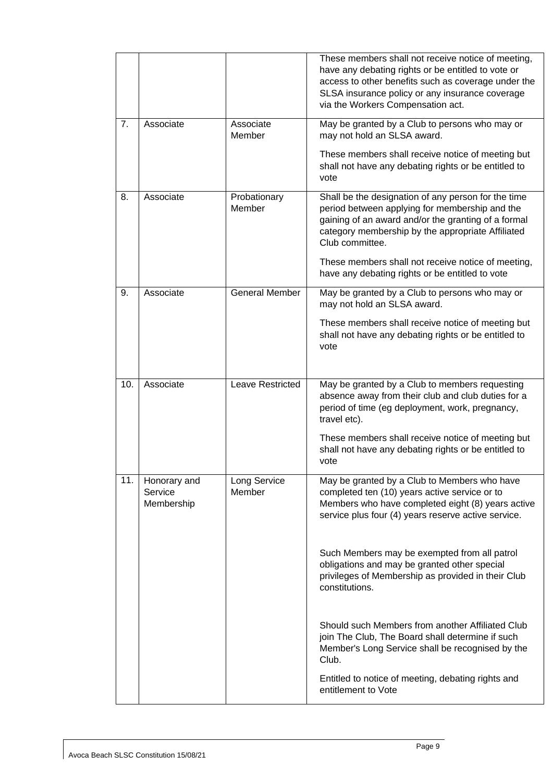|     |                         |                        | These members shall not receive notice of meeting,<br>have any debating rights or be entitled to vote or<br>access to other benefits such as coverage under the<br>SLSA insurance policy or any insurance coverage<br>via the Workers Compensation act. |
|-----|-------------------------|------------------------|---------------------------------------------------------------------------------------------------------------------------------------------------------------------------------------------------------------------------------------------------------|
| 7.  | Associate               | Associate<br>Member    | May be granted by a Club to persons who may or<br>may not hold an SLSA award.                                                                                                                                                                           |
|     |                         |                        | These members shall receive notice of meeting but<br>shall not have any debating rights or be entitled to<br>vote                                                                                                                                       |
| 8.  | Associate               | Probationary<br>Member | Shall be the designation of any person for the time<br>period between applying for membership and the<br>gaining of an award and/or the granting of a formal<br>category membership by the appropriate Affiliated<br>Club committee.                    |
|     |                         |                        | These members shall not receive notice of meeting,<br>have any debating rights or be entitled to vote                                                                                                                                                   |
| 9.  | Associate               | <b>General Member</b>  | May be granted by a Club to persons who may or<br>may not hold an SLSA award.                                                                                                                                                                           |
|     |                         |                        | These members shall receive notice of meeting but<br>shall not have any debating rights or be entitled to<br>vote                                                                                                                                       |
| 10. | Associate               | Leave Restricted       | May be granted by a Club to members requesting<br>absence away from their club and club duties for a<br>period of time (eg deployment, work, pregnancy,<br>travel etc).                                                                                 |
|     |                         |                        | These members shall receive notice of meeting but<br>shall not have any debating rights or be entitled to<br>vote                                                                                                                                       |
| 11. | Honorary and<br>Service | Long Service           | May be granted by a Club to Members who have                                                                                                                                                                                                            |
|     | Membership              | Member                 | completed ten (10) years active service or to<br>Members who have completed eight (8) years active<br>service plus four (4) years reserve active service.                                                                                               |
|     |                         |                        | Such Members may be exempted from all patrol<br>obligations and may be granted other special<br>privileges of Membership as provided in their Club<br>constitutions.                                                                                    |
|     |                         |                        | Should such Members from another Affiliated Club<br>join The Club, The Board shall determine if such<br>Member's Long Service shall be recognised by the<br>Club.                                                                                       |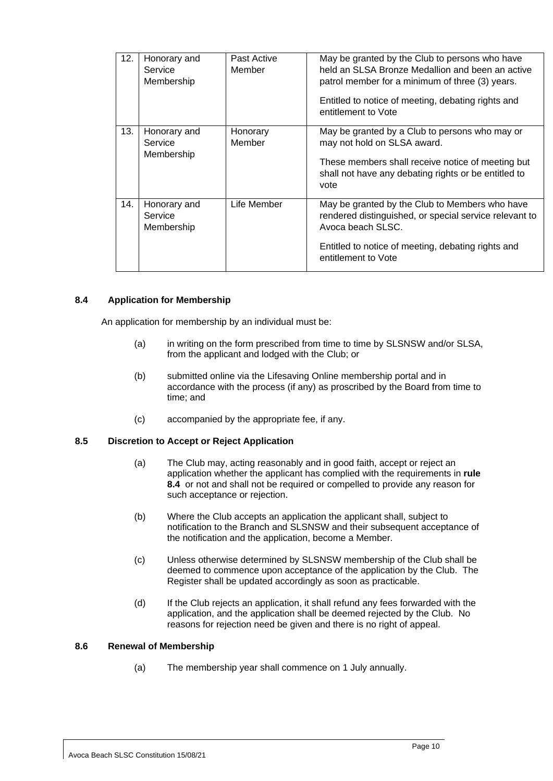| 12. | Honorary and<br>Service<br>Membership | Past Active<br>Member | May be granted by the Club to persons who have<br>held an SLSA Bronze Medallion and been an active<br>patrol member for a minimum of three (3) years.<br>Entitled to notice of meeting, debating rights and<br>entitlement to Vote |
|-----|---------------------------------------|-----------------------|------------------------------------------------------------------------------------------------------------------------------------------------------------------------------------------------------------------------------------|
| 13. | Honorary and<br>Service<br>Membership | Honorary<br>Member    | May be granted by a Club to persons who may or<br>may not hold on SLSA award.<br>These members shall receive notice of meeting but<br>shall not have any debating rights or be entitled to<br>vote                                 |
| 14. | Honorary and<br>Service<br>Membership | Life Member           | May be granted by the Club to Members who have<br>rendered distinguished, or special service relevant to<br>Avoca beach SLSC.<br>Entitled to notice of meeting, debating rights and<br>entitlement to Vote                         |

## **8.4 Application for Membership**

An application for membership by an individual must be:

- (a) in writing on the form prescribed from time to time by SLSNSW and/or SLSA, from the applicant and lodged with the Club; or
- (b) submitted online via the Lifesaving Online membership portal and in accordance with the process (if any) as proscribed by the Board from time to time; and
- (c) accompanied by the appropriate fee, if any.

## <span id="page-13-0"></span>**8.5 Discretion to Accept or Reject Application**

- (a) The Club may, acting reasonably and in good faith, accept or reject an application whether the applicant has complied with the requirements in **rule 8.4** or not and shall not be required or compelled to provide any reason for such acceptance or rejection.
- (b) Where the Club accepts an application the applicant shall, subject to notification to the Branch and SLSNSW and their subsequent acceptance of the notification and the application, become a Member.
- (c) Unless otherwise determined by SLSNSW membership of the Club shall be deemed to commence upon acceptance of the application by the Club. The Register shall be updated accordingly as soon as practicable.
- (d) If the Club rejects an application, it shall refund any fees forwarded with the application, and the application shall be deemed rejected by the Club. No reasons for rejection need be given and there is no right of appeal.

## <span id="page-13-1"></span>**8.6 Renewal of Membership**

(a) The membership year shall commence on 1 July annually.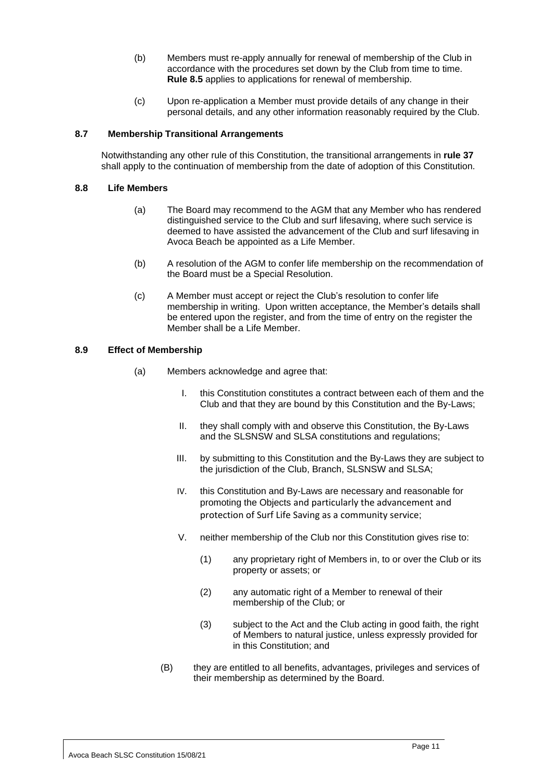- (b) Members must re-apply annually for renewal of membership of the Club in accordance with the procedures set down by the Club from time to time. **Rule 8.5** applies to applications for renewal of membership.
- (c) Upon re-application a Member must provide details of any change in their personal details, and any other information reasonably required by the Club.

#### <span id="page-14-0"></span>**8.7 Membership Transitional Arrangements**

Notwithstanding any other rule of this Constitution, the transitional arrangements in **rule 37** shall apply to the continuation of membership from the date of adoption of this Constitution.

#### <span id="page-14-1"></span>**8.8 Life Members**

- (a) The Board may recommend to the AGM that any Member who has rendered distinguished service to the Club and surf lifesaving, where such service is deemed to have assisted the advancement of the Club and surf lifesaving in Avoca Beach be appointed as a Life Member.
- (b) A resolution of the AGM to confer life membership on the recommendation of the Board must be a Special Resolution.
- (c) A Member must accept or reject the Club's resolution to confer life membership in writing. Upon written acceptance, the Member's details shall be entered upon the register, and from the time of entry on the register the Member shall be a Life Member.

#### <span id="page-14-2"></span>**8.9 Effect of Membership**

- (a) Members acknowledge and agree that:
	- I. this Constitution constitutes a contract between each of them and the Club and that they are bound by this Constitution and the By-Laws;
	- II. they shall comply with and observe this Constitution, the By-Laws and the SLSNSW and SLSA constitutions and regulations;
	- III. by submitting to this Constitution and the By-Laws they are subject to the jurisdiction of the Club, Branch, SLSNSW and SLSA;
	- IV. this Constitution and By-Laws are necessary and reasonable for promoting the Objects and particularly the advancement and protection of Surf Life Saving as a community service;
	- V. neither membership of the Club nor this Constitution gives rise to:
		- (1) any proprietary right of Members in, to or over the Club or its property or assets; or
		- (2) any automatic right of a Member to renewal of their membership of the Club; or
		- (3) subject to the Act and the Club acting in good faith, the right of Members to natural justice, unless expressly provided for in this Constitution; and
	- (B) they are entitled to all benefits, advantages, privileges and services of their membership as determined by the Board.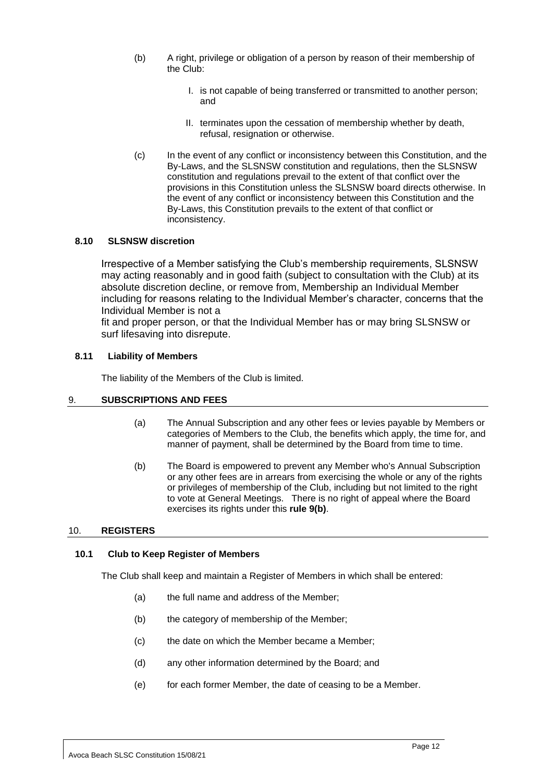- (b) A right, privilege or obligation of a person by reason of their membership of the Club:
	- I. is not capable of being transferred or transmitted to another person; and
	- II. terminates upon the cessation of membership whether by death, refusal, resignation or otherwise.
- (c) In the event of any conflict or inconsistency between this Constitution, and the By-Laws, and the SLSNSW constitution and regulations, then the SLSNSW constitution and regulations prevail to the extent of that conflict over the provisions in this Constitution unless the SLSNSW board directs otherwise. In the event of any conflict or inconsistency between this Constitution and the By-Laws, this Constitution prevails to the extent of that conflict or inconsistency.

## <span id="page-15-0"></span>**8.10 SLSNSW discretion**

Irrespective of a Member satisfying the Club's membership requirements, SLSNSW may acting reasonably and in good faith (subject to consultation with the Club) at its absolute discretion decline, or remove from, Membership an Individual Member including for reasons relating to the Individual Member's character, concerns that the Individual Member is not a

fit and proper person, or that the Individual Member has or may bring SLSNSW or surf lifesaving into disrepute.

#### **8.11 Liability of Members**

The liability of the Members of the Club is limited.

## <span id="page-15-1"></span>9. **SUBSCRIPTIONS AND FEES**

- (a) The Annual Subscription and any other fees or levies payable by Members or categories of Members to the Club, the benefits which apply, the time for, and manner of payment, shall be determined by the Board from time to time.
- (b) The Board is empowered to prevent any Member who's Annual Subscription or any other fees are in arrears from exercising the whole or any of the rights or privileges of membership of the Club, including but not limited to the right to vote at General Meetings. There is no right of appeal where the Board exercises its rights under this **rule 9(b)**.

## <span id="page-15-2"></span>10. **REGISTERS**

#### <span id="page-15-3"></span>**10.1 Club to Keep Register of Members**

The Club shall keep and maintain a Register of Members in which shall be entered:

- (a) the full name and address of the Member;
- (b) the category of membership of the Member;
- (c) the date on which the Member became a Member;
- (d) any other information determined by the Board; and
- <span id="page-15-4"></span>(e) for each former Member, the date of ceasing to be a Member.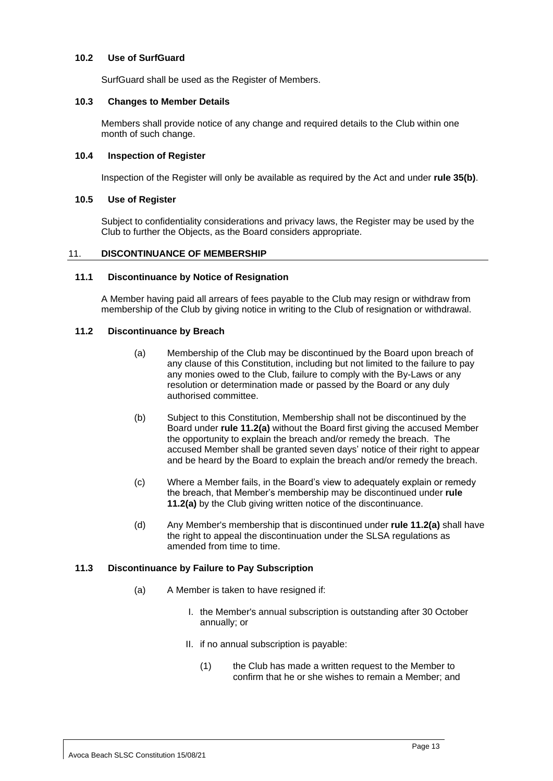#### <span id="page-16-0"></span>**10.2 Use of SurfGuard**

SurfGuard shall be used as the Register of Members.

#### <span id="page-16-1"></span>**10.3 Changes to Member Details**

Members shall provide notice of any change and required details to the Club within one month of such change.

#### <span id="page-16-2"></span>**10.4 Inspection of Register**

Inspection of the Register will only be available as required by the Act and under **rule [35\(b\)](#page-34-2)**.

#### <span id="page-16-3"></span>**10.5 Use of Register**

Subject to confidentiality considerations and privacy laws, the Register may be used by the Club to further the Objects, as the Board considers appropriate.

#### <span id="page-16-4"></span>11. **DISCONTINUANCE OF MEMBERSHIP**

#### <span id="page-16-5"></span>**11.1 Discontinuance by Notice of Resignation**

A Member having paid all arrears of fees payable to the Club may resign or withdraw from membership of the Club by giving notice in writing to the Club of resignation or withdrawal.

## <span id="page-16-8"></span><span id="page-16-6"></span>**11.2 Discontinuance by Breach**

- (a) Membership of the Club may be discontinued by the Board upon breach of any clause of this Constitution, including but not limited to the failure to pay any monies owed to the Club, failure to comply with the By-Laws or any resolution or determination made or passed by the Board or any duly authorised committee.
- (b) Subject to this Constitution, Membership shall not be discontinued by the Board under **rule [11.2\(a\)](#page-16-8)** without the Board first giving the accused Member the opportunity to explain the breach and/or remedy the breach. The accused Member shall be granted seven days' notice of their right to appear and be heard by the Board to explain the breach and/or remedy the breach.
- (c) Where a Member fails, in the Board's view to adequately explain or remedy the breach, that Member's membership may be discontinued under **rule [11.2\(a\)](#page-16-8)** by the Club giving written notice of the discontinuance.
- (d) Any Member's membership that is discontinued under **rule [11.2\(a\)](#page-16-8)** shall have the right to appeal the discontinuation under the SLSA regulations as amended from time to time.

## <span id="page-16-7"></span>**11.3 Discontinuance by Failure to Pay Subscription**

- (a) A Member is taken to have resigned if:
	- I. the Member's annual subscription is outstanding after 30 October annually; or
	- II. if no annual subscription is payable:
		- (1) the Club has made a written request to the Member to confirm that he or she wishes to remain a Member; and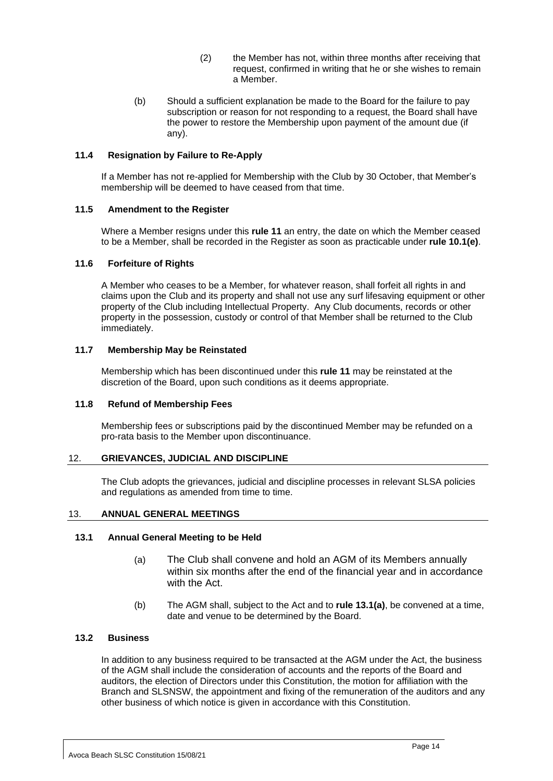- (2) the Member has not, within three months after receiving that request, confirmed in writing that he or she wishes to remain a Member.
- (b) Should a sufficient explanation be made to the Board for the failure to pay subscription or reason for not responding to a request, the Board shall have the power to restore the Membership upon payment of the amount due (if any).

## <span id="page-17-0"></span>**11.4 Resignation by Failure to Re-Apply**

If a Member has not re-applied for Membership with the Club by 30 October, that Member's membership will be deemed to have ceased from that time.

#### <span id="page-17-1"></span>**11.5 Amendment to the Register**

Where a Member resigns under this **rule [11](#page-16-4)** an entry, the date on which the Member ceased to be a Member, shall be recorded in the Register as soon as practicable under **rule [10.1\(e\)](#page-15-4)**.

#### <span id="page-17-2"></span>**11.6 Forfeiture of Rights**

A Member who ceases to be a Member, for whatever reason, shall forfeit all rights in and claims upon the Club and its property and shall not use any surf lifesaving equipment or other property of the Club including Intellectual Property. Any Club documents, records or other property in the possession, custody or control of that Member shall be returned to the Club immediately.

#### <span id="page-17-3"></span>**11.7 Membership May be Reinstated**

Membership which has been discontinued under this **rule [11](#page-16-4)** may be reinstated at the discretion of the Board, upon such conditions as it deems appropriate.

#### <span id="page-17-4"></span>**11.8 Refund of Membership Fees**

Membership fees or subscriptions paid by the discontinued Member may be refunded on a pro-rata basis to the Member upon discontinuance.

## <span id="page-17-5"></span>12. **GRIEVANCES, JUDICIAL AND DISCIPLINE**

The Club adopts the grievances, judicial and discipline processes in relevant SLSA policies and regulations as amended from time to time.

## <span id="page-17-6"></span>13. **ANNUAL GENERAL MEETINGS**

#### <span id="page-17-9"></span><span id="page-17-7"></span>**13.1 Annual General Meeting to be Held**

- (a) The Club shall convene and hold an AGM of its Members annually within six months after the end of the financial year and in accordance with the Act.
- (b) The AGM shall, subject to the Act and to **rule [13.1\(a\)](#page-17-9)**, be convened at a time, date and venue to be determined by the Board.

#### <span id="page-17-8"></span>**13.2 Business**

In addition to any business required to be transacted at the AGM under the Act, the business of the AGM shall include the consideration of accounts and the reports of the Board and auditors, the election of Directors under this Constitution, the motion for affiliation with the Branch and SLSNSW, the appointment and fixing of the remuneration of the auditors and any other business of which notice is given in accordance with this Constitution.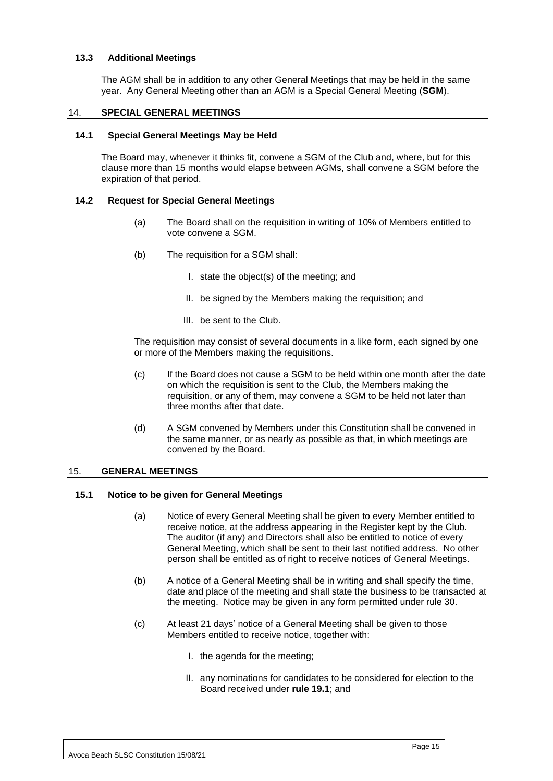## <span id="page-18-0"></span>**13.3 Additional Meetings**

The AGM shall be in addition to any other General Meetings that may be held in the same year. Any General Meeting other than an AGM is a Special General Meeting (**SGM**).

#### <span id="page-18-1"></span>14. **SPECIAL GENERAL MEETINGS**

#### <span id="page-18-2"></span>**14.1 Special General Meetings May be Held**

The Board may, whenever it thinks fit, convene a SGM of the Club and, where, but for this clause more than 15 months would elapse between AGMs, shall convene a SGM before the expiration of that period.

#### <span id="page-18-3"></span>**14.2 Request for Special General Meetings**

- (a) The Board shall on the requisition in writing of 10% of Members entitled to vote convene a SGM.
- (b) The requisition for a SGM shall:
	- I. state the object(s) of the meeting; and
	- II. be signed by the Members making the requisition; and
	- III. be sent to the Club.

The requisition may consist of several documents in a like form, each signed by one or more of the Members making the requisitions.

- (c) If the Board does not cause a SGM to be held within one month after the date on which the requisition is sent to the Club, the Members making the requisition, or any of them, may convene a SGM to be held not later than three months after that date.
- (d) A SGM convened by Members under this Constitution shall be convened in the same manner, or as nearly as possible as that, in which meetings are convened by the Board.

#### <span id="page-18-4"></span>15. **GENERAL MEETINGS**

#### <span id="page-18-5"></span>**15.1 Notice to be given for General Meetings**

- (a) Notice of every General Meeting shall be given to every Member entitled to receive notice, at the address appearing in the Register kept by the Club. The auditor (if any) and Directors shall also be entitled to notice of every General Meeting, which shall be sent to their last notified address. No other person shall be entitled as of right to receive notices of General Meetings.
- (b) A notice of a General Meeting shall be in writing and shall specify the time, date and place of the meeting and shall state the business to be transacted at the meeting. Notice may be given in any form permitted under rule 30.
- (c) At least 21 days' notice of a General Meeting shall be given to those Members entitled to receive notice, together with:
	- I. the agenda for the meeting;
	- II. any nominations for candidates to be considered for election to the Board received under **rule [19.1](#page-24-1)**; and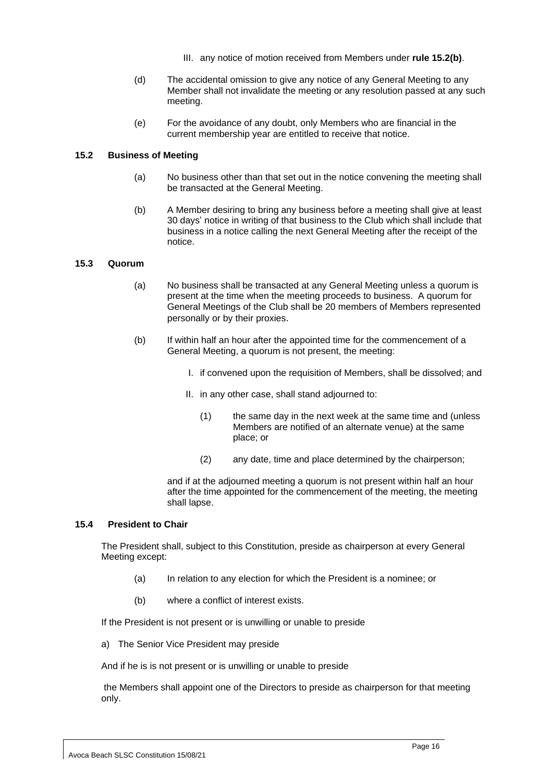- III. any notice of motion received from Members under **rule [15.2\(b\)](#page-19-3)**.
- (d) The accidental omission to give any notice of any General Meeting to any Member shall not invalidate the meeting or any resolution passed at any such meeting.
- (e) For the avoidance of any doubt, only Members who are financial in the current membership year are entitled to receive that notice.

#### <span id="page-19-3"></span><span id="page-19-0"></span>**15.2 Business of Meeting**

- (a) No business other than that set out in the notice convening the meeting shall be transacted at the General Meeting.
- (b) A Member desiring to bring any business before a meeting shall give at least 30 days' notice in writing of that business to the Club which shall include that business in a notice calling the next General Meeting after the receipt of the notice.

#### <span id="page-19-1"></span>**15.3 Quorum**

- (a) No business shall be transacted at any General Meeting unless a quorum is present at the time when the meeting proceeds to business. A quorum for General Meetings of the Club shall be 20 members of Members represented personally or by their proxies.
- (b) If within half an hour after the appointed time for the commencement of a General Meeting, a quorum is not present, the meeting:
	- I. if convened upon the requisition of Members, shall be dissolved; and
	- II. in any other case, shall stand adjourned to:
		- (1) the same day in the next week at the same time and (unless Members are notified of an alternate venue) at the same place; or
		- (2) any date, time and place determined by the chairperson;

and if at the adjourned meeting a quorum is not present within half an hour after the time appointed for the commencement of the meeting, the meeting shall lapse.

#### <span id="page-19-2"></span>**15.4 President to Chair**

The President shall, subject to this Constitution, preside as chairperson at every General Meeting except:

- (a) In relation to any election for which the President is a nominee; or
- (b) where a conflict of interest exists.

If the President is not present or is unwilling or unable to preside

a) The Senior Vice President may preside

And if he is is not present or is unwilling or unable to preside

the Members shall appoint one of the Directors to preside as chairperson for that meeting only.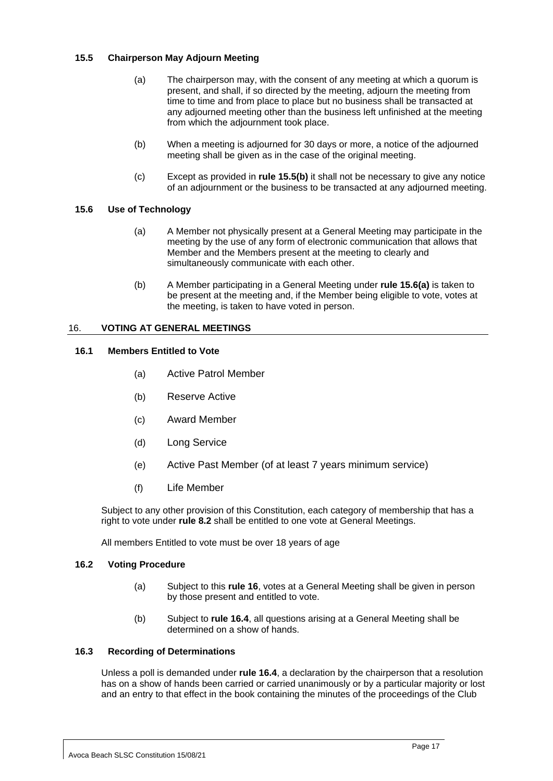## <span id="page-20-0"></span>**15.5 Chairperson May Adjourn Meeting**

- (a) The chairperson may, with the consent of any meeting at which a quorum is present, and shall, if so directed by the meeting, adjourn the meeting from time to time and from place to place but no business shall be transacted at any adjourned meeting other than the business left unfinished at the meeting from which the adjournment took place.
- (b) When a meeting is adjourned for 30 days or more, a notice of the adjourned meeting shall be given as in the case of the original meeting.
- (c) Except as provided in **rule [15.5\(b\)](#page-20-6)** it shall not be necessary to give any notice of an adjournment or the business to be transacted at any adjourned meeting.

## <span id="page-20-7"></span><span id="page-20-6"></span><span id="page-20-1"></span>**15.6 Use of Technology**

- (a) A Member not physically present at a General Meeting may participate in the meeting by the use of any form of electronic communication that allows that Member and the Members present at the meeting to clearly and simultaneously communicate with each other.
- (b) A Member participating in a General Meeting under **rul[e 15.6\(a\)](#page-20-7)** is taken to be present at the meeting and, if the Member being eligible to vote, votes at the meeting, is taken to have voted in person.

## <span id="page-20-2"></span>16. **VOTING AT GENERAL MEETINGS**

## <span id="page-20-3"></span>**16.1 Members Entitled to Vote**

- (a) Active Patrol Member
- (b) Reserve Active
- (c) Award Member
- (d) Long Service
- (e) Active Past Member (of at least 7 years minimum service)
- (f) Life Member

Subject to any other provision of this Constitution, each category of membership that has a right to vote under **rule 8.2** shall be entitled to one vote at General Meetings.

All members Entitled to vote must be over 18 years of age

## <span id="page-20-4"></span>**16.2 Voting Procedure**

- (a) Subject to this **rule [16](#page-20-2)**, votes at a General Meeting shall be given in person by those present and entitled to vote.
- (b) Subject to **rule [16.4](#page-21-0)**, all questions arising at a General Meeting shall be determined on a show of hands.

## <span id="page-20-5"></span>**16.3 Recording of Determinations**

Unless a poll is demanded under **rule [16.4](#page-21-0)**, a declaration by the chairperson that a resolution has on a show of hands been carried or carried unanimously or by a particular majority or lost and an entry to that effect in the book containing the minutes of the proceedings of the Club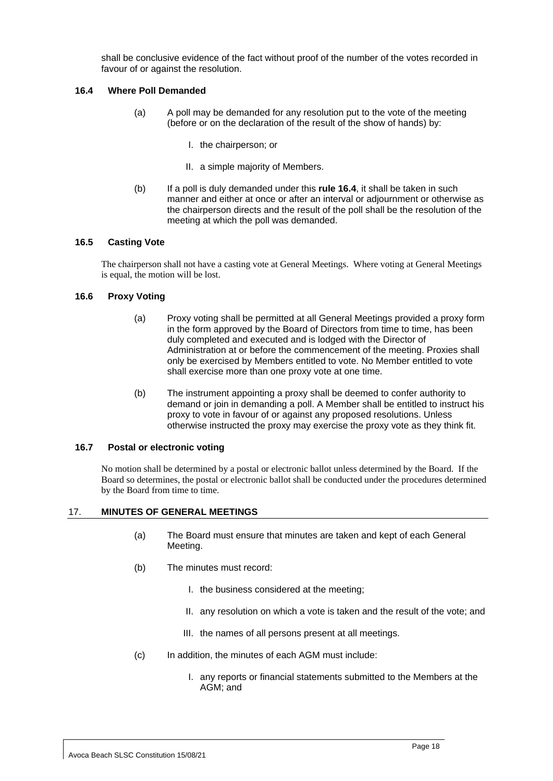shall be conclusive evidence of the fact without proof of the number of the votes recorded in favour of or against the resolution.

## <span id="page-21-0"></span>**16.4 Where Poll Demanded**

- (a) A poll may be demanded for any resolution put to the vote of the meeting (before or on the declaration of the result of the show of hands) by:
	- I. the chairperson; or
	- II. a simple majority of Members.
- (b) If a poll is duly demanded under this **rule [16.4](#page-21-0)**, it shall be taken in such manner and either at once or after an interval or adjournment or otherwise as the chairperson directs and the result of the poll shall be the resolution of the meeting at which the poll was demanded.

## <span id="page-21-1"></span>**16.5 Casting Vote**

The chairperson shall not have a casting vote at General Meetings. Where voting at General Meetings is equal, the motion will be lost.

## <span id="page-21-2"></span>**16.6 Proxy Voting**

- (a) Proxy voting shall be permitted at all General Meetings provided a proxy form in the form approved by the Board of Directors from time to time, has been duly completed and executed and is lodged with the Director of Administration at or before the commencement of the meeting. Proxies shall only be exercised by Members entitled to vote. No Member entitled to vote shall exercise more than one proxy vote at one time.
- (b) The instrument appointing a proxy shall be deemed to confer authority to demand or join in demanding a poll. A Member shall be entitled to instruct his proxy to vote in favour of or against any proposed resolutions. Unless otherwise instructed the proxy may exercise the proxy vote as they think fit.

#### <span id="page-21-3"></span>**16.7 Postal or electronic voting**

No motion shall be determined by a postal or electronic ballot unless determined by the Board. If the Board so determines, the postal or electronic ballot shall be conducted under the procedures determined by the Board from time to time.

## <span id="page-21-4"></span>17. **MINUTES OF GENERAL MEETINGS**

- (a) The Board must ensure that minutes are taken and kept of each General Meeting.
- (b) The minutes must record:
	- I. the business considered at the meeting;
	- II. any resolution on which a vote is taken and the result of the vote; and
	- III. the names of all persons present at all meetings.
- (c) In addition, the minutes of each AGM must include:
	- I. any reports or financial statements submitted to the Members at the AGM; and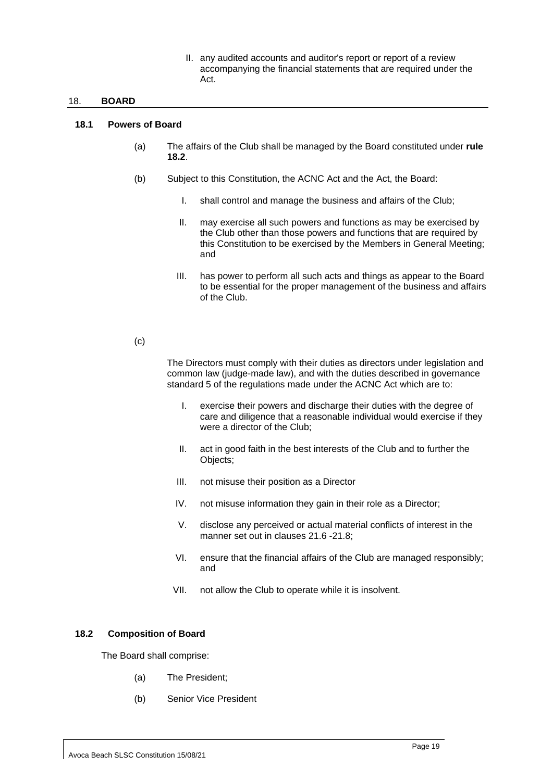II. any audited accounts and auditor's report or report of a review accompanying the financial statements that are required under the Act.

#### <span id="page-22-0"></span>18. **BOARD**

#### <span id="page-22-3"></span><span id="page-22-1"></span>**18.1 Powers of Board**

- (a) The affairs of the Club shall be managed by the Board constituted under **rule [18.2](#page-22-2)**.
- (b) Subject to this Constitution, the ACNC Act and the Act, the Board:
	- I. shall control and manage the business and affairs of the Club;
	- II. may exercise all such powers and functions as may be exercised by the Club other than those powers and functions that are required by this Constitution to be exercised by the Members in General Meeting; and
	- III. has power to perform all such acts and things as appear to the Board to be essential for the proper management of the business and affairs of the Club.

#### $(c)$

The Directors must comply with their duties as directors under legislation and common law (judge-made law), and with the duties described in governance standard 5 of the regulations made under the ACNC Act which are to:

- I. exercise their powers and discharge their duties with the degree of care and diligence that a reasonable individual would exercise if they were a director of the Club;
- II. act in good faith in the best interests of the Club and to further the Objects;
- III. not misuse their position as a Director
- IV. not misuse information they gain in their role as a Director;
- V. disclose any perceived or actual material conflicts of interest in the manner set out in clauses 21.6 -21.8;
- VI. ensure that the financial affairs of the Club are managed responsibly; and
- VII. not allow the Club to operate while it is insolvent.

## <span id="page-22-2"></span>**18.2 Composition of Board**

<span id="page-22-4"></span>The Board shall comprise:

- (a) The President;
- (b) Senior Vice President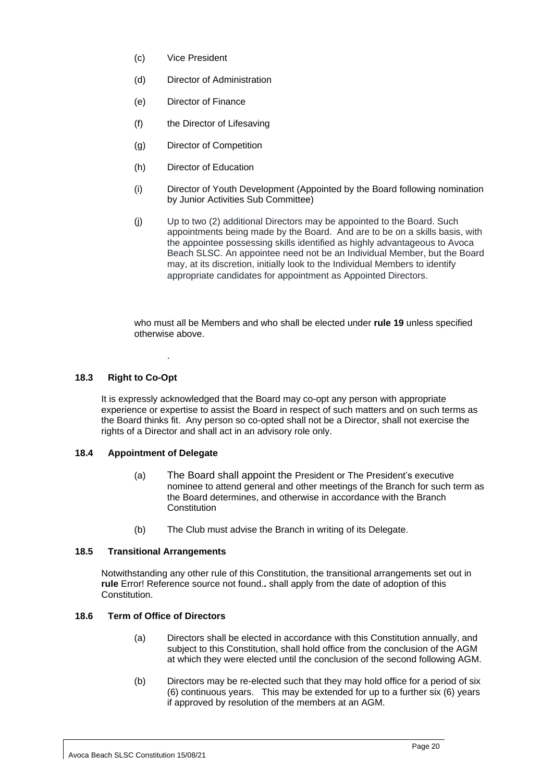- (c) Vice President
- (d) Director of Administration
- (e) Director of Finance
- (f) the Director of Lifesaving
- (g) Director of Competition
- (h) Director of Education
- (i) Director of Youth Development (Appointed by the Board following nomination by Junior Activities Sub Committee)
- (j) Up to two (2) additional Directors may be appointed to the Board. Such appointments being made by the Board. And are to be on a skills basis, with the appointee possessing skills identified as highly advantageous to Avoca Beach SLSC. An appointee need not be an Individual Member, but the Board may, at its discretion, initially look to the Individual Members to identify appropriate candidates for appointment as Appointed Directors.

who must all be Members and who shall be elected under **rul[e 19](#page-24-0)** unless specified otherwise above.

## <span id="page-23-0"></span>**18.3 Right to Co-Opt**

It is expressly acknowledged that the Board may co-opt any person with appropriate experience or expertise to assist the Board in respect of such matters and on such terms as the Board thinks fit. Any person so co-opted shall not be a Director, shall not exercise the rights of a Director and shall act in an advisory role only.

## <span id="page-23-1"></span>**18.4 Appointment of Delegate**

.

- (a) The Board shall appoint the President or The President's executive nominee to attend general and other meetings of the Branch for such term as the Board determines, and otherwise in accordance with the Branch **Constitution**
- (b) The Club must advise the Branch in writing of its Delegate.

## <span id="page-23-2"></span>**18.5 Transitional Arrangements**

Notwithstanding any other rule of this Constitution, the transitional arrangements set out in **rule** Error! Reference source not found.**.** shall apply from the date of adoption of this Constitution.

## <span id="page-23-3"></span>**18.6 Term of Office of Directors**

- (a) Directors shall be elected in accordance with this Constitution annually, and subject to this Constitution, shall hold office from the conclusion of the AGM at which they were elected until the conclusion of the second following AGM.
- (b) Directors may be re-elected such that they may hold office for a period of six (6) continuous years. This may be extended for up to a further six (6) years if approved by resolution of the members at an AGM.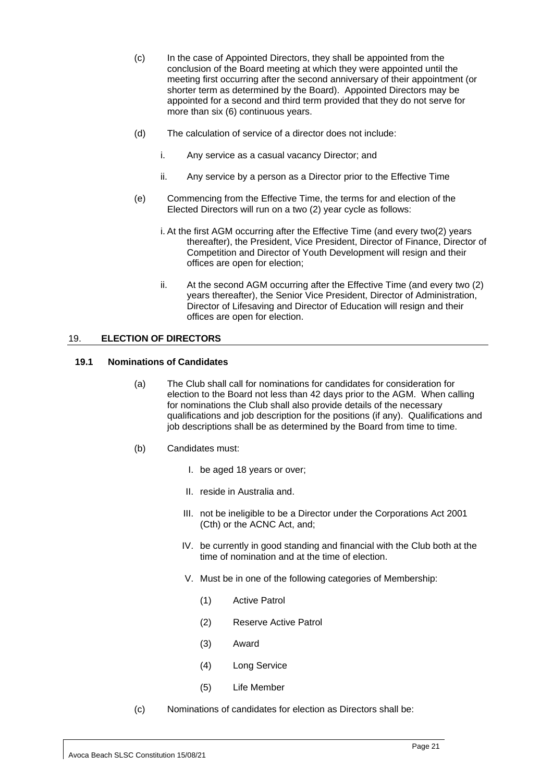- (c) In the case of Appointed Directors, they shall be appointed from the conclusion of the Board meeting at which they were appointed until the meeting first occurring after the second anniversary of their appointment (or shorter term as determined by the Board). Appointed Directors may be appointed for a second and third term provided that they do not serve for more than six (6) continuous years.
- (d) The calculation of service of a director does not include:
	- i. Any service as a casual vacancy Director; and
	- ii. Any service by a person as a Director prior to the Effective Time
- (e) Commencing from the Effective Time, the terms for and election of the Elected Directors will run on a two (2) year cycle as follows:
	- i. At the first AGM occurring after the Effective Time (and every two(2) years thereafter), the President, Vice President, Director of Finance, Director of Competition and Director of Youth Development will resign and their offices are open for election;
	- ii. At the second AGM occurring after the Effective Time (and every two (2) years thereafter), the Senior Vice President, Director of Administration, Director of Lifesaving and Director of Education will resign and their offices are open for election.

## <span id="page-24-0"></span>19. **ELECTION OF DIRECTORS**

#### <span id="page-24-1"></span>**19.1 Nominations of Candidates**

- (a) The Club shall call for nominations for candidates for consideration for election to the Board not less than 42 days prior to the AGM. When calling for nominations the Club shall also provide details of the necessary qualifications and job description for the positions (if any). Qualifications and job descriptions shall be as determined by the Board from time to time.
- (b) Candidates must:
	- I. be aged 18 years or over;
	- II. reside in Australia and.
	- III. not be ineligible to be a Director under the Corporations Act 2001 (Cth) or the ACNC Act, and;
	- IV. be currently in good standing and financial with the Club both at the time of nomination and at the time of election.
	- V. Must be in one of the following categories of Membership:
		- (1) Active Patrol
		- (2) Reserve Active Patrol
		- (3) Award
		- (4) Long Service
		- (5) Life Member
- (c) Nominations of candidates for election as Directors shall be: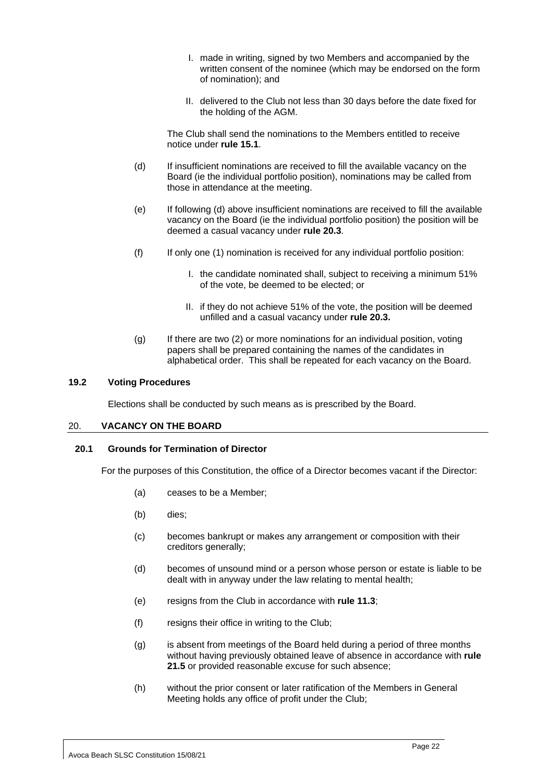- I. made in writing, signed by two Members and accompanied by the written consent of the nominee (which may be endorsed on the form of nomination); and
- II. delivered to the Club not less than 30 days before the date fixed for the holding of the AGM.

The Club shall send the nominations to the Members entitled to receive notice under **rule [15.1](#page-18-5)**.

- (d) If insufficient nominations are received to fill the available vacancy on the Board (ie the individual portfolio position), nominations may be called from those in attendance at the meeting.
- (e) If following (d) above insufficient nominations are received to fill the available vacancy on the Board (ie the individual portfolio position) the position will be deemed a casual vacancy under **rule 20.3**.
- (f) If only one (1) nomination is received for any individual portfolio position:
	- I. the candidate nominated shall, subject to receiving a minimum 51% of the vote, be deemed to be elected; or
	- II. if they do not achieve 51% of the vote, the position will be deemed unfilled and a casual vacancy under **rule 20.3.**
- $(q)$  If there are two (2) or more nominations for an individual position, voting papers shall be prepared containing the names of the candidates in alphabetical order. This shall be repeated for each vacancy on the Board.

#### <span id="page-25-0"></span>**19.2 Voting Procedures**

Elections shall be conducted by such means as is prescribed by the Board.

## <span id="page-25-1"></span>20. **VACANCY ON THE BOARD**

## <span id="page-25-2"></span>**20.1 Grounds for Termination of Director**

For the purposes of this Constitution, the office of a Director becomes vacant if the Director:

- (a) ceases to be a Member;
- (b) dies;
- (c) becomes bankrupt or makes any arrangement or composition with their creditors generally;
- (d) becomes of unsound mind or a person whose person or estate is liable to be dealt with in anyway under the law relating to mental health;
- (e) resigns from the Club in accordance with **rule 11.3**;
- (f) resigns their office in writing to the Club;
- (g) is absent from meetings of the Board held during a period of three months without having previously obtained leave of absence in accordance with **rule [21.5](#page-28-0)** or provided reasonable excuse for such absence;
- (h) without the prior consent or later ratification of the Members in General Meeting holds any office of profit under the Club;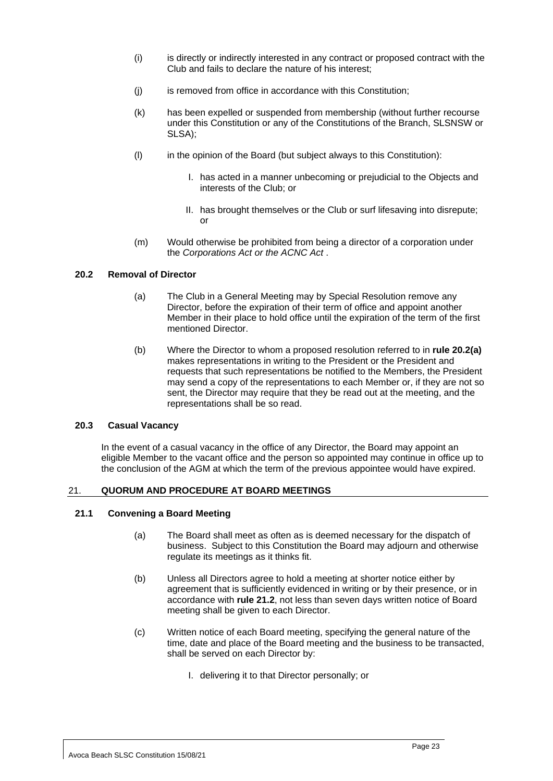- (i) is directly or indirectly interested in any contract or proposed contract with the Club and fails to declare the nature of his interest;
- (j) is removed from office in accordance with this Constitution;
- (k) has been expelled or suspended from membership (without further recourse under this Constitution or any of the Constitutions of the Branch, SLSNSW or SLSA);
- (l) in the opinion of the Board (but subject always to this Constitution):
	- I. has acted in a manner unbecoming or prejudicial to the Objects and interests of the Club; or
	- II. has brought themselves or the Club or surf lifesaving into disrepute; or
- (m) Would otherwise be prohibited from being a director of a corporation under the *Corporations Act or the ACNC Act* .

## <span id="page-26-4"></span><span id="page-26-0"></span>**20.2 Removal of Director**

- (a) The Club in a General Meeting may by Special Resolution remove any Director, before the expiration of their term of office and appoint another Member in their place to hold office until the expiration of the term of the first mentioned Director.
- (b) Where the Director to whom a proposed resolution referred to in **rule [20.2](#page-26-0)[\(a\)](#page-26-4)** makes representations in writing to the President or the President and requests that such representations be notified to the Members, the President may send a copy of the representations to each Member or, if they are not so sent, the Director may require that they be read out at the meeting, and the representations shall be so read.

## <span id="page-26-1"></span>**20.3 Casual Vacancy**

In the event of a casual vacancy in the office of any Director, the Board may appoint an eligible Member to the vacant office and the person so appointed may continue in office up to the conclusion of the AGM at which the term of the previous appointee would have expired.

## <span id="page-26-2"></span>21. **QUORUM AND PROCEDURE AT BOARD MEETINGS**

## <span id="page-26-3"></span>**21.1 Convening a Board Meeting**

- (a) The Board shall meet as often as is deemed necessary for the dispatch of business. Subject to this Constitution the Board may adjourn and otherwise regulate its meetings as it thinks fit.
- (b) Unless all Directors agree to hold a meeting at shorter notice either by agreement that is sufficiently evidenced in writing or by their presence, or in accordance with **rule [21.2](#page-27-0)**, not less than seven days written notice of Board meeting shall be given to each Director.
- (c) Written notice of each Board meeting, specifying the general nature of the time, date and place of the Board meeting and the business to be transacted, shall be served on each Director by:
	- I. delivering it to that Director personally; or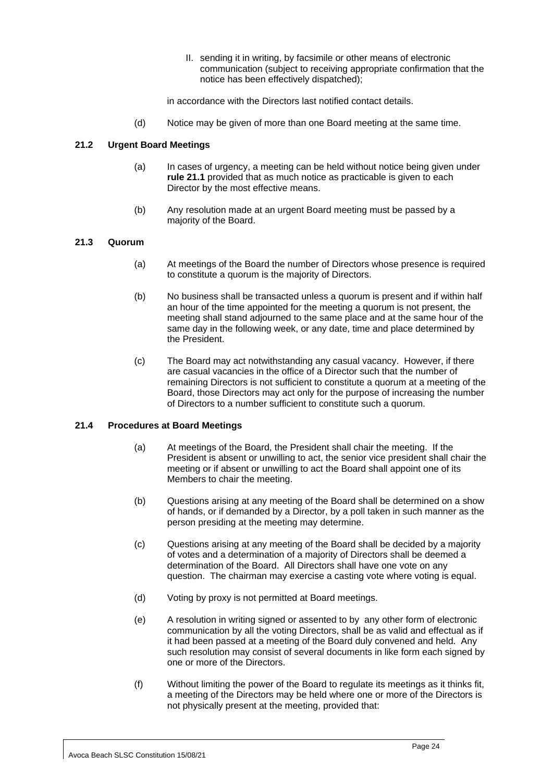II. sending it in writing, by facsimile or other means of electronic communication (subject to receiving appropriate confirmation that the notice has been effectively dispatched);

in accordance with the Directors last notified contact details.

(d) Notice may be given of more than one Board meeting at the same time.

## <span id="page-27-0"></span>**21.2 Urgent Board Meetings**

- (a) In cases of urgency, a meeting can be held without notice being given under **rule [21.1](#page-26-3)** provided that as much notice as practicable is given to each Director by the most effective means.
- (b) Any resolution made at an urgent Board meeting must be passed by a majority of the Board.

#### <span id="page-27-1"></span>**21.3 Quorum**

- (a) At meetings of the Board the number of Directors whose presence is required to constitute a quorum is the majority of Directors.
- (b) No business shall be transacted unless a quorum is present and if within half an hour of the time appointed for the meeting a quorum is not present, the meeting shall stand adjourned to the same place and at the same hour of the same day in the following week, or any date, time and place determined by the President.
- (c) The Board may act notwithstanding any casual vacancy. However, if there are casual vacancies in the office of a Director such that the number of remaining Directors is not sufficient to constitute a quorum at a meeting of the Board, those Directors may act only for the purpose of increasing the number of Directors to a number sufficient to constitute such a quorum.

## <span id="page-27-2"></span>**21.4 Procedures at Board Meetings**

- (a) At meetings of the Board, the President shall chair the meeting. If the President is absent or unwilling to act, the senior vice president shall chair the meeting or if absent or unwilling to act the Board shall appoint one of its Members to chair the meeting.
- (b) Questions arising at any meeting of the Board shall be determined on a show of hands, or if demanded by a Director, by a poll taken in such manner as the person presiding at the meeting may determine.
- (c) Questions arising at any meeting of the Board shall be decided by a majority of votes and a determination of a majority of Directors shall be deemed a determination of the Board. All Directors shall have one vote on any question. The chairman may exercise a casting vote where voting is equal.
- (d) Voting by proxy is not permitted at Board meetings.
- (e) A resolution in writing signed or assented to by any other form of electronic communication by all the voting Directors, shall be as valid and effectual as if it had been passed at a meeting of the Board duly convened and held. Any such resolution may consist of several documents in like form each signed by one or more of the Directors.
- (f) Without limiting the power of the Board to regulate its meetings as it thinks fit, a meeting of the Directors may be held where one or more of the Directors is not physically present at the meeting, provided that: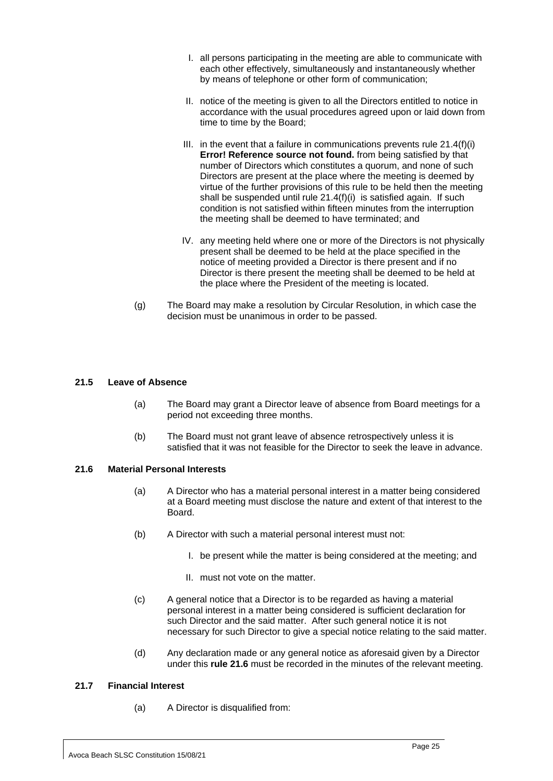- I. all persons participating in the meeting are able to communicate with each other effectively, simultaneously and instantaneously whether by means of telephone or other form of communication;
- II. notice of the meeting is given to all the Directors entitled to notice in accordance with the usual procedures agreed upon or laid down from time to time by the Board;
- III. in the event that a failure in communications prevents rule 21.4(f)(i) **Error! Reference source not found.** from being satisfied by that number of Directors which constitutes a quorum, and none of such Directors are present at the place where the meeting is deemed by virtue of the further provisions of this rule to be held then the meeting shall be suspended until rule 21.4(f)(i) is satisfied again. If such condition is not satisfied within fifteen minutes from the interruption the meeting shall be deemed to have terminated; and
- IV. any meeting held where one or more of the Directors is not physically present shall be deemed to be held at the place specified in the notice of meeting provided a Director is there present and if no Director is there present the meeting shall be deemed to be held at the place where the President of the meeting is located.
- (g) The Board may make a resolution by Circular Resolution, in which case the decision must be unanimous in order to be passed.

## <span id="page-28-0"></span>**21.5 Leave of Absence**

- (a) The Board may grant a Director leave of absence from Board meetings for a period not exceeding three months.
- (b) The Board must not grant leave of absence retrospectively unless it is satisfied that it was not feasible for the Director to seek the leave in advance.

## <span id="page-28-1"></span>**21.6 Material Personal Interests**

- (a) A Director who has a material personal interest in a matter being considered at a Board meeting must disclose the nature and extent of that interest to the Board.
- (b) A Director with such a material personal interest must not:
	- I. be present while the matter is being considered at the meeting; and
	- II. must not vote on the matter.
- (c) A general notice that a Director is to be regarded as having a material personal interest in a matter being considered is sufficient declaration for such Director and the said matter. After such general notice it is not necessary for such Director to give a special notice relating to the said matter.
- (d) Any declaration made or any general notice as aforesaid given by a Director under this **rule [21.6](#page-28-1)** must be recorded in the minutes of the relevant meeting.

## <span id="page-28-2"></span>**21.7 Financial Interest**

(a) A Director is disqualified from: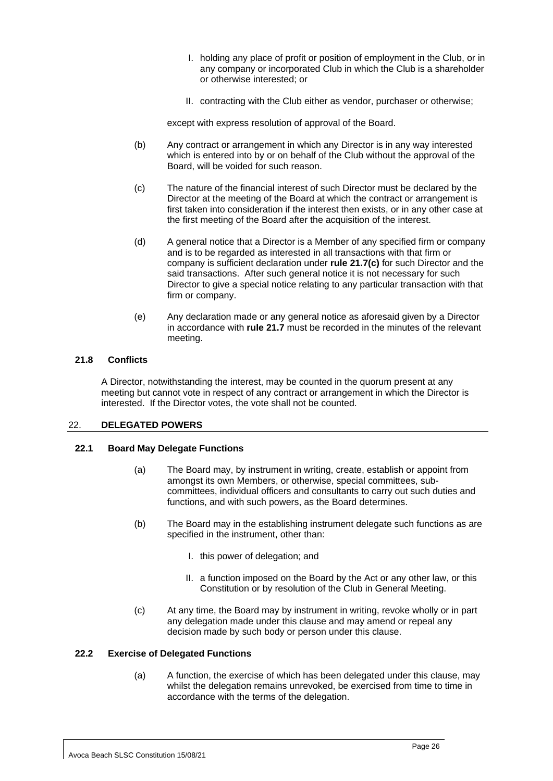- I. holding any place of profit or position of employment in the Club, or in any company or incorporated Club in which the Club is a shareholder or otherwise interested; or
- II. contracting with the Club either as vendor, purchaser or otherwise;

except with express resolution of approval of the Board.

- (b) Any contract or arrangement in which any Director is in any way interested which is entered into by or on behalf of the Club without the approval of the Board, will be voided for such reason.
- <span id="page-29-4"></span>(c) The nature of the financial interest of such Director must be declared by the Director at the meeting of the Board at which the contract or arrangement is first taken into consideration if the interest then exists, or in any other case at the first meeting of the Board after the acquisition of the interest.
- (d) A general notice that a Director is a Member of any specified firm or company and is to be regarded as interested in all transactions with that firm or company is sufficient declaration under **rule [21.7\(c\)](#page-29-4)** for such Director and the said transactions. After such general notice it is not necessary for such Director to give a special notice relating to any particular transaction with that firm or company.
- (e) Any declaration made or any general notice as aforesaid given by a Director in accordance with **rule [21.7](#page-28-2)** must be recorded in the minutes of the relevant meeting.

## <span id="page-29-0"></span>**21.8 Conflicts**

A Director, notwithstanding the interest, may be counted in the quorum present at any meeting but cannot vote in respect of any contract or arrangement in which the Director is interested. If the Director votes, the vote shall not be counted.

## <span id="page-29-1"></span>22. **DELEGATED POWERS**

## <span id="page-29-2"></span>**22.1 Board May Delegate Functions**

- (a) The Board may, by instrument in writing, create, establish or appoint from amongst its own Members, or otherwise, special committees, subcommittees, individual officers and consultants to carry out such duties and functions, and with such powers, as the Board determines.
- (b) The Board may in the establishing instrument delegate such functions as are specified in the instrument, other than:
	- I. this power of delegation; and
	- II. a function imposed on the Board by the Act or any other law, or this Constitution or by resolution of the Club in General Meeting.
- (c) At any time, the Board may by instrument in writing, revoke wholly or in part any delegation made under this clause and may amend or repeal any decision made by such body or person under this clause.

## <span id="page-29-3"></span>**22.2 Exercise of Delegated Functions**

(a) A function, the exercise of which has been delegated under this clause, may whilst the delegation remains unrevoked, be exercised from time to time in accordance with the terms of the delegation.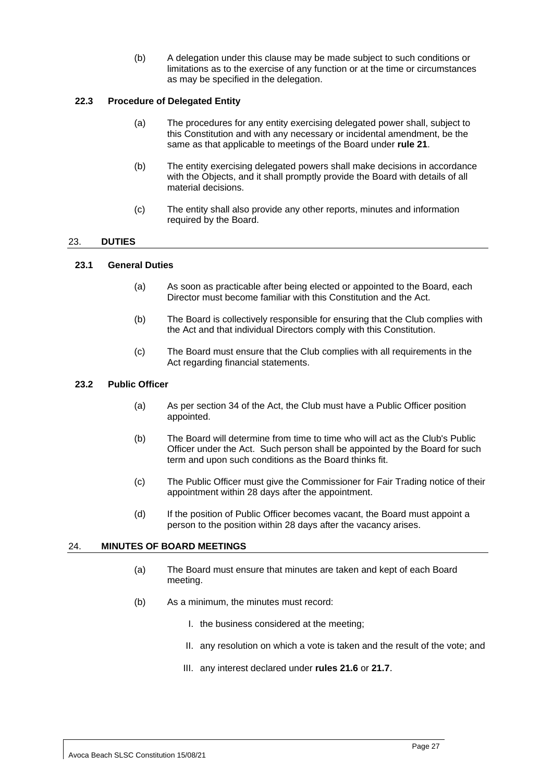(b) A delegation under this clause may be made subject to such conditions or limitations as to the exercise of any function or at the time or circumstances as may be specified in the delegation.

## <span id="page-30-0"></span>**22.3 Procedure of Delegated Entity**

- (a) The procedures for any entity exercising delegated power shall, subject to this Constitution and with any necessary or incidental amendment, be the same as that applicable to meetings of the Board under **rule [21](#page-26-2)**.
- (b) The entity exercising delegated powers shall make decisions in accordance with the Objects, and it shall promptly provide the Board with details of all material decisions.
- (c) The entity shall also provide any other reports, minutes and information required by the Board.

## <span id="page-30-1"></span>23. **DUTIES**

## <span id="page-30-2"></span>**23.1 General Duties**

- (a) As soon as practicable after being elected or appointed to the Board, each Director must become familiar with this Constitution and the Act.
- (b) The Board is collectively responsible for ensuring that the Club complies with the Act and that individual Directors comply with this Constitution.
- (c) The Board must ensure that the Club complies with all requirements in the Act regarding financial statements.

#### <span id="page-30-3"></span>**23.2 Public Officer**

- (a) As per section 34 of the Act, the Club must have a Public Officer position appointed.
- (b) The Board will determine from time to time who will act as the Club's Public Officer under the Act. Such person shall be appointed by the Board for such term and upon such conditions as the Board thinks fit.
- (c) The Public Officer must give the Commissioner for Fair Trading notice of their appointment within 28 days after the appointment.
- (d) If the position of Public Officer becomes vacant, the Board must appoint a person to the position within 28 days after the vacancy arises.

## <span id="page-30-4"></span>24. **MINUTES OF BOARD MEETINGS**

- (a) The Board must ensure that minutes are taken and kept of each Board meeting.
- (b) As a minimum, the minutes must record:
	- I. the business considered at the meeting;
	- II. any resolution on which a vote is taken and the result of the vote; and
	- III. any interest declared under **rules [21.6](#page-28-1)** or **[21.7](#page-28-2)**.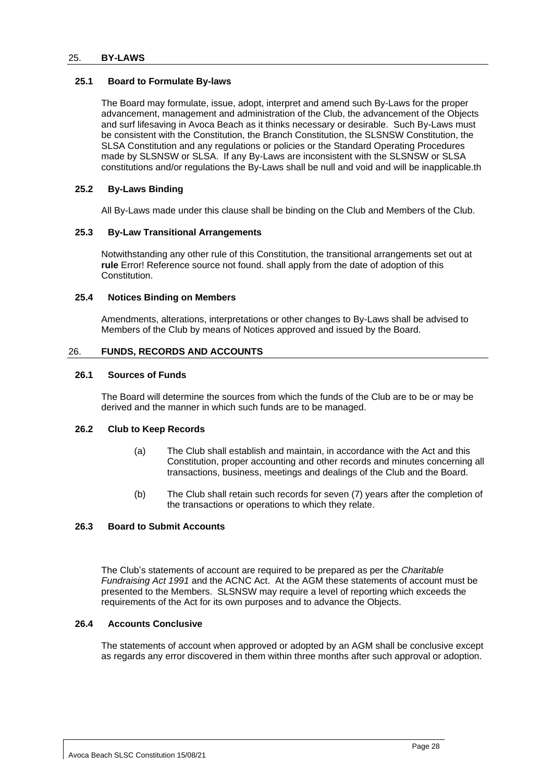#### <span id="page-31-0"></span>25. **BY-LAWS**

#### <span id="page-31-1"></span>**25.1 Board to Formulate By-laws**

The Board may formulate, issue, adopt, interpret and amend such By-Laws for the proper advancement, management and administration of the Club, the advancement of the Objects and surf lifesaving in Avoca Beach as it thinks necessary or desirable. Such By-Laws must be consistent with the Constitution, the Branch Constitution, the SLSNSW Constitution, the SLSA Constitution and any regulations or policies or the Standard Operating Procedures made by SLSNSW or SLSA. If any By-Laws are inconsistent with the SLSNSW or SLSA constitutions and/or regulations the By-Laws shall be null and void and will be inapplicable.th

#### <span id="page-31-2"></span>**25.2 By-Laws Binding**

All By-Laws made under this clause shall be binding on the Club and Members of the Club.

#### <span id="page-31-3"></span>**25.3 By-Law Transitional Arrangements**

Notwithstanding any other rule of this Constitution, the transitional arrangements set out at **rule** Error! Reference source not found. shall apply from the date of adoption of this Constitution.

#### <span id="page-31-4"></span>**25.4 Notices Binding on Members**

Amendments, alterations, interpretations or other changes to By-Laws shall be advised to Members of the Club by means of Notices approved and issued by the Board.

#### <span id="page-31-5"></span>26. **FUNDS, RECORDS AND ACCOUNTS**

#### <span id="page-31-6"></span>**26.1 Sources of Funds**

The Board will determine the sources from which the funds of the Club are to be or may be derived and the manner in which such funds are to be managed.

#### <span id="page-31-7"></span>**26.2 Club to Keep Records**

- (a) The Club shall establish and maintain, in accordance with the Act and this Constitution, proper accounting and other records and minutes concerning all transactions, business, meetings and dealings of the Club and the Board.
- (b) The Club shall retain such records for seven (7) years after the completion of the transactions or operations to which they relate.

## <span id="page-31-8"></span>**26.3 Board to Submit Accounts**

The Club's statements of account are required to be prepared as per the *Charitable Fundraising Act 1991* and the ACNC Act. At the AGM these statements of account must be presented to the Members. SLSNSW may require a level of reporting which exceeds the requirements of the Act for its own purposes and to advance the Objects.

## <span id="page-31-9"></span>**26.4 Accounts Conclusive**

The statements of account when approved or adopted by an AGM shall be conclusive except as regards any error discovered in them within three months after such approval or adoption.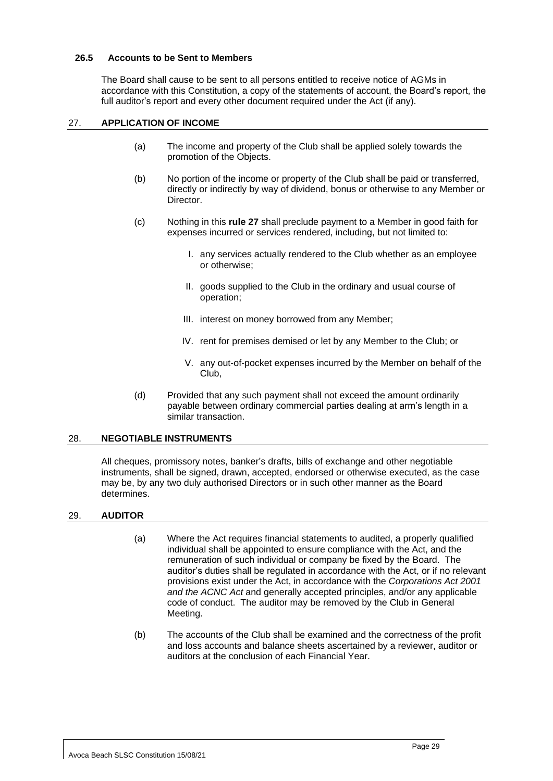#### <span id="page-32-0"></span>**26.5 Accounts to be Sent to Members**

The Board shall cause to be sent to all persons entitled to receive notice of AGMs in accordance with this Constitution, a copy of the statements of account, the Board's report, the full auditor's report and every other document required under the Act (if any).

## <span id="page-32-1"></span>27. **APPLICATION OF INCOME**

- (a) The income and property of the Club shall be applied solely towards the promotion of the Objects.
- (b) No portion of the income or property of the Club shall be paid or transferred, directly or indirectly by way of dividend, bonus or otherwise to any Member or Director.
- (c) Nothing in this **rule 27** shall preclude payment to a Member in good faith for expenses incurred or services rendered, including, but not limited to:
	- I. any services actually rendered to the Club whether as an employee or otherwise;
	- II. goods supplied to the Club in the ordinary and usual course of operation;
	- III. interest on money borrowed from any Member;
	- IV. rent for premises demised or let by any Member to the Club; or
	- V. any out-of-pocket expenses incurred by the Member on behalf of the Club,
- (d) Provided that any such payment shall not exceed the amount ordinarily payable between ordinary commercial parties dealing at arm's length in a similar transaction.

#### <span id="page-32-2"></span>28. **NEGOTIABLE INSTRUMENTS**

All cheques, promissory notes, banker's drafts, bills of exchange and other negotiable instruments, shall be signed, drawn, accepted, endorsed or otherwise executed, as the case may be, by any two duly authorised Directors or in such other manner as the Board determines.

#### <span id="page-32-3"></span>29. **AUDITOR**

- (a) Where the Act requires financial statements to audited, a properly qualified individual shall be appointed to ensure compliance with the Act, and the remuneration of such individual or company be fixed by the Board. The auditor's duties shall be regulated in accordance with the Act, or if no relevant provisions exist under the Act, in accordance with the *Corporations Act 2001 and the ACNC Act* and generally accepted principles, and/or any applicable code of conduct. The auditor may be removed by the Club in General Meeting.
- (b) The accounts of the Club shall be examined and the correctness of the profit and loss accounts and balance sheets ascertained by a reviewer, auditor or auditors at the conclusion of each Financial Year.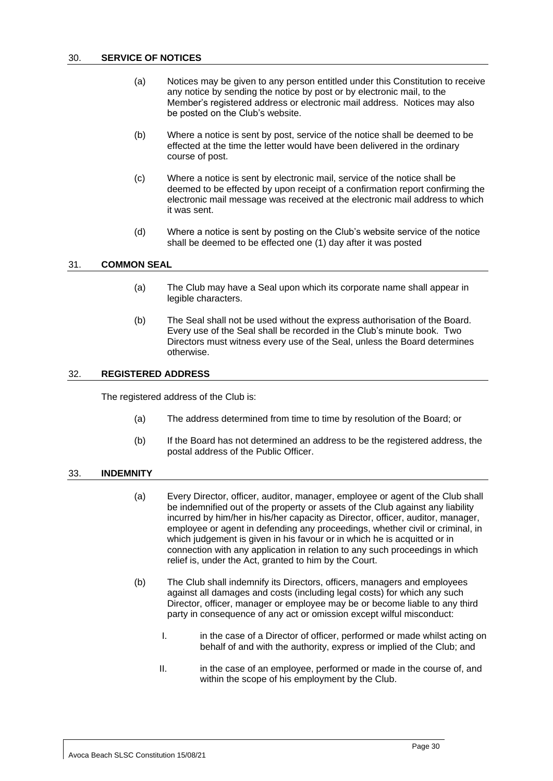- <span id="page-33-0"></span>(a) Notices may be given to any person entitled under this Constitution to receive any notice by sending the notice by post or by electronic mail, to the Member's registered address or electronic mail address. Notices may also be posted on the Club's website.
- (b) Where a notice is sent by post, service of the notice shall be deemed to be effected at the time the letter would have been delivered in the ordinary course of post.
- (c) Where a notice is sent by electronic mail, service of the notice shall be deemed to be effected by upon receipt of a confirmation report confirming the electronic mail message was received at the electronic mail address to which it was sent.
- (d) Where a notice is sent by posting on the Club's website service of the notice shall be deemed to be effected one (1) day after it was posted

#### <span id="page-33-1"></span>31. **COMMON SEAL**

- (a) The Club may have a Seal upon which its corporate name shall appear in legible characters.
- (b) The Seal shall not be used without the express authorisation of the Board. Every use of the Seal shall be recorded in the Club's minute book. Two Directors must witness every use of the Seal, unless the Board determines otherwise.

#### <span id="page-33-2"></span>32. **REGISTERED ADDRESS**

The registered address of the Club is:

- (a) The address determined from time to time by resolution of the Board; or
- (b) If the Board has not determined an address to be the registered address, the postal address of the Public Officer.

#### <span id="page-33-3"></span>33. **INDEMNITY**

- (a) Every Director, officer, auditor, manager, employee or agent of the Club shall be indemnified out of the property or assets of the Club against any liability incurred by him/her in his/her capacity as Director, officer, auditor, manager, employee or agent in defending any proceedings, whether civil or criminal, in which judgement is given in his favour or in which he is acquitted or in connection with any application in relation to any such proceedings in which relief is, under the Act, granted to him by the Court.
- (b) The Club shall indemnify its Directors, officers, managers and employees against all damages and costs (including legal costs) for which any such Director, officer, manager or employee may be or become liable to any third party in consequence of any act or omission except wilful misconduct:
	- I. in the case of a Director of officer, performed or made whilst acting on behalf of and with the authority, express or implied of the Club; and
	- II. in the case of an employee, performed or made in the course of, and within the scope of his employment by the Club.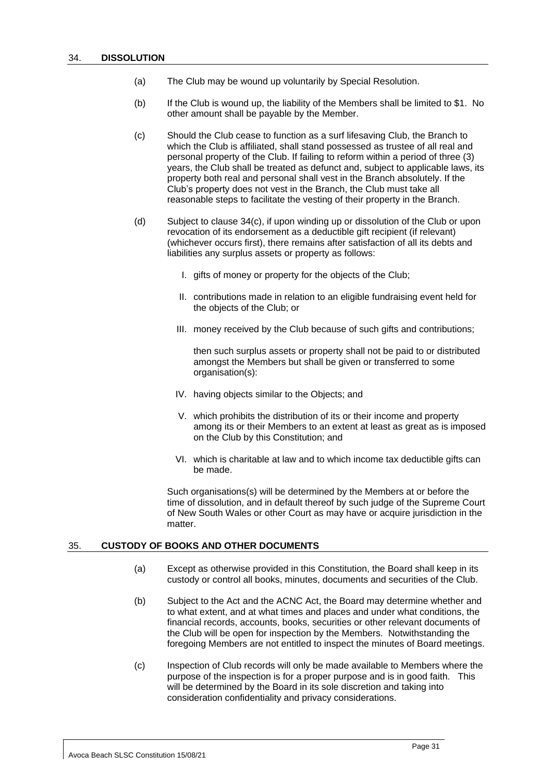- <span id="page-34-0"></span>(a) The Club may be wound up voluntarily by Special Resolution.
- (b) If the Club is wound up, the liability of the Members shall be limited to \$1. No other amount shall be payable by the Member.
- (c) Should the Club cease to function as a surf lifesaving Club, the Branch to which the Club is affiliated, shall stand possessed as trustee of all real and personal property of the Club. If failing to reform within a period of three (3) years, the Club shall be treated as defunct and, subject to applicable laws, its property both real and personal shall vest in the Branch absolutely. If the Club's property does not vest in the Branch, the Club must take all reasonable steps to facilitate the vesting of their property in the Branch.
- (d) Subject to clause 34(c), if upon winding up or dissolution of the Club or upon revocation of its endorsement as a deductible gift recipient (if relevant) (whichever occurs first), there remains after satisfaction of all its debts and liabilities any surplus assets or property as follows:
	- I. gifts of money or property for the objects of the Club;
	- II. contributions made in relation to an eligible fundraising event held for the objects of the Club; or
	- III. money received by the Club because of such gifts and contributions;

then such surplus assets or property shall not be paid to or distributed amongst the Members but shall be given or transferred to some organisation(s):

- IV. having objects similar to the Objects; and
- V. which prohibits the distribution of its or their income and property among its or their Members to an extent at least as great as is imposed on the Club by this Constitution; and
- VI. which is charitable at law and to which income tax deductible gifts can be made.

Such organisations(s) will be determined by the Members at or before the time of dissolution, and in default thereof by such judge of the Supreme Court of New South Wales or other Court as may have or acquire jurisdiction in the matter.

#### <span id="page-34-2"></span><span id="page-34-1"></span>35. **CUSTODY OF BOOKS AND OTHER DOCUMENTS**

- (a) Except as otherwise provided in this Constitution, the Board shall keep in its custody or control all books, minutes, documents and securities of the Club.
- (b) Subject to the Act and the ACNC Act, the Board may determine whether and to what extent, and at what times and places and under what conditions, the financial records, accounts, books, securities or other relevant documents of the Club will be open for inspection by the Members. Notwithstanding the foregoing Members are not entitled to inspect the minutes of Board meetings.
- (c) Inspection of Club records will only be made available to Members where the purpose of the inspection is for a proper purpose and is in good faith. This will be determined by the Board in its sole discretion and taking into consideration confidentiality and privacy considerations.